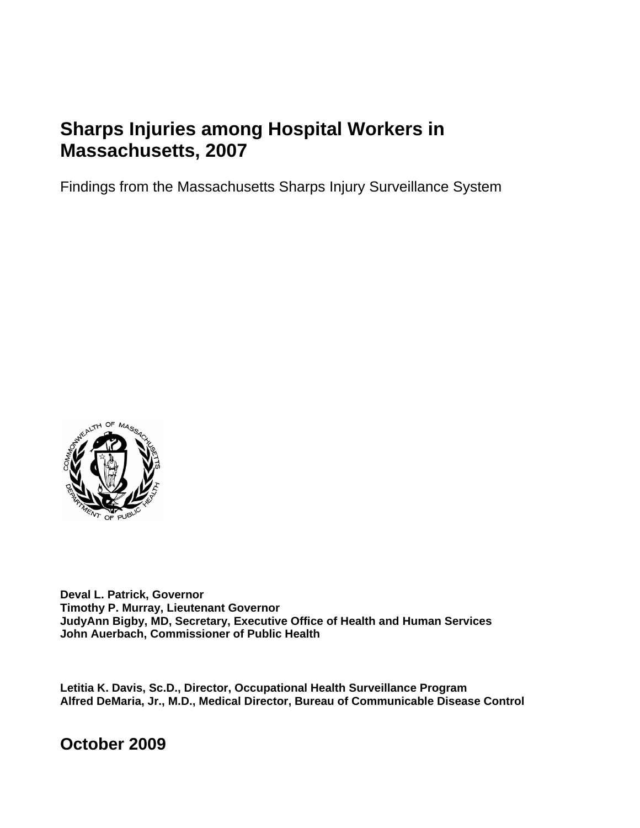# **Sharps Injuries among Hospital Workers in Massachusetts, 2007**

Findings from the Massachusetts Sharps Injury Surveillance System



**Deval L. Patrick, Governor Timothy P. Murray, Lieutenant Governor JudyAnn Bigby, MD, Secretary, Executive Office of Health and Human Services John Auerbach, Commissioner of Public Health** 

**Letitia K. Davis, Sc.D., Director, Occupational Health Surveillance Program Alfred DeMaria, Jr., M.D., Medical Director, Bureau of Communicable Disease Control** 

**October 2009**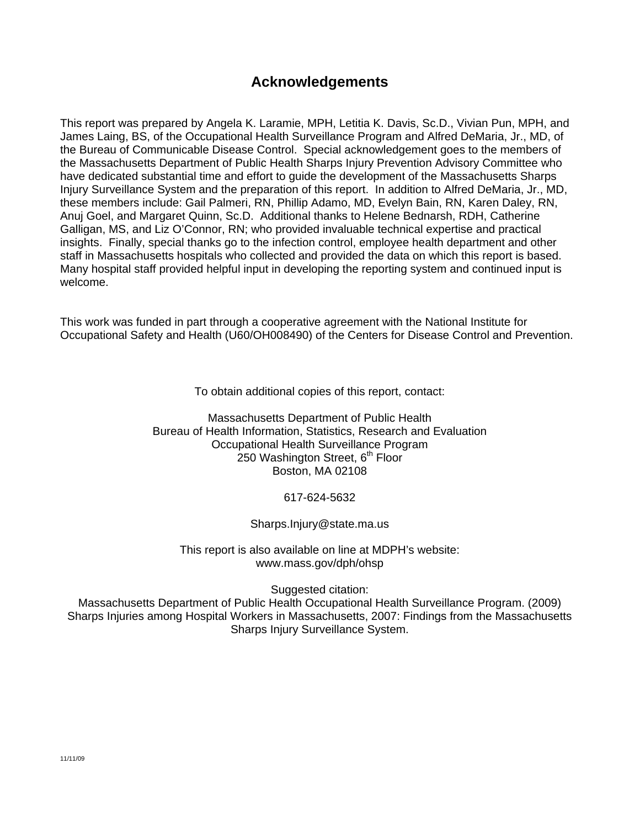# **Acknowledgements**

This report was prepared by Angela K. Laramie, MPH, Letitia K. Davis, Sc.D., Vivian Pun, MPH, and James Laing, BS, of the Occupational Health Surveillance Program and Alfred DeMaria, Jr., MD, of the Bureau of Communicable Disease Control. Special acknowledgement goes to the members of the Massachusetts Department of Public Health Sharps Injury Prevention Advisory Committee who have dedicated substantial time and effort to guide the development of the Massachusetts Sharps Injury Surveillance System and the preparation of this report. In addition to Alfred DeMaria, Jr., MD, these members include: Gail Palmeri, RN, Phillip Adamo, MD, Evelyn Bain, RN, Karen Daley, RN, Anuj Goel, and Margaret Quinn, Sc.D. Additional thanks to Helene Bednarsh, RDH, Catherine Galligan, MS, and Liz O'Connor, RN; who provided invaluable technical expertise and practical insights. Finally, special thanks go to the infection control, employee health department and other staff in Massachusetts hospitals who collected and provided the data on which this report is based. Many hospital staff provided helpful input in developing the reporting system and continued input is welcome.

This work was funded in part through a cooperative agreement with the National Institute for Occupational Safety and Health (U60/OH008490) of the Centers for Disease Control and Prevention.

To obtain additional copies of this report, contact:

Massachusetts Department of Public Health Bureau of Health Information, Statistics, Research and Evaluation Occupational Health Surveillance Program 250 Washington Street, 6<sup>th</sup> Floor Boston, MA 02108

617-624-5632

Sharps.Injury@state.ma.us

This report is also available on line at MDPH's website: www.mass.gov/dph/ohsp

Suggested citation:

Massachusetts Department of Public Health Occupational Health Surveillance Program. (2009) Sharps Injuries among Hospital Workers in Massachusetts, 2007: Findings from the Massachusetts Sharps Injury Surveillance System.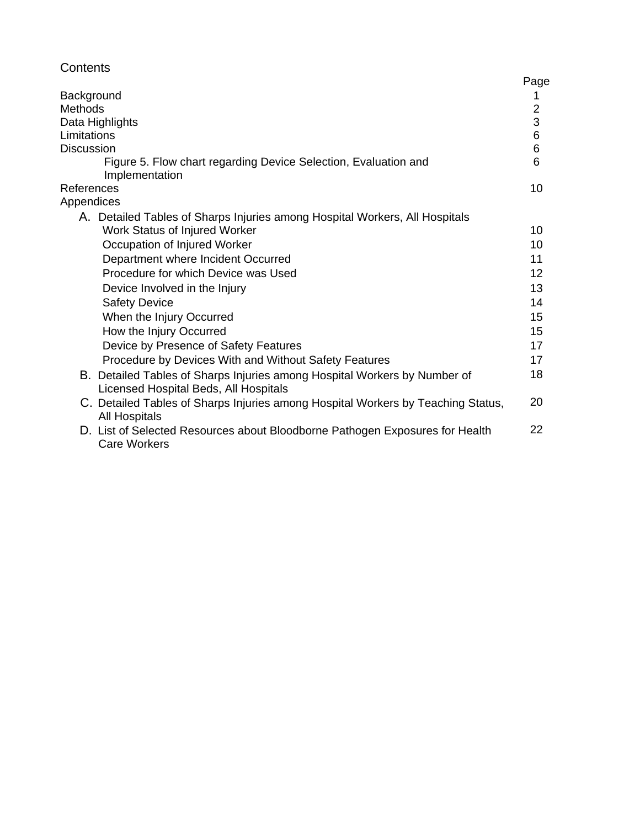# **Contents**

| Background<br><b>Methods</b><br>Data Highlights<br>Limitations<br><b>Discussion</b><br>Figure 5. Flow chart regarding Device Selection, Evaluation and | Page<br>$\overline{2}$<br>3<br>6<br>6<br>6 |
|--------------------------------------------------------------------------------------------------------------------------------------------------------|--------------------------------------------|
| Implementation<br>References                                                                                                                           | 10                                         |
| Appendices                                                                                                                                             |                                            |
| A. Detailed Tables of Sharps Injuries among Hospital Workers, All Hospitals<br>Work Status of Injured Worker                                           | 10                                         |
| Occupation of Injured Worker                                                                                                                           | 10                                         |
| Department where Incident Occurred                                                                                                                     | 11                                         |
| Procedure for which Device was Used                                                                                                                    | 12                                         |
| Device Involved in the Injury                                                                                                                          | 13                                         |
| <b>Safety Device</b>                                                                                                                                   | 14                                         |
| When the Injury Occurred                                                                                                                               | 15                                         |
| How the Injury Occurred                                                                                                                                | 15                                         |
| Device by Presence of Safety Features                                                                                                                  | 17                                         |
| Procedure by Devices With and Without Safety Features                                                                                                  | 17                                         |
| B. Detailed Tables of Sharps Injuries among Hospital Workers by Number of<br>Licensed Hospital Beds, All Hospitals                                     | 18                                         |
| C. Detailed Tables of Sharps Injuries among Hospital Workers by Teaching Status,<br><b>All Hospitals</b>                                               | 20                                         |
| D. List of Selected Resources about Bloodborne Pathogen Exposures for Health<br><b>Care Workers</b>                                                    | 22                                         |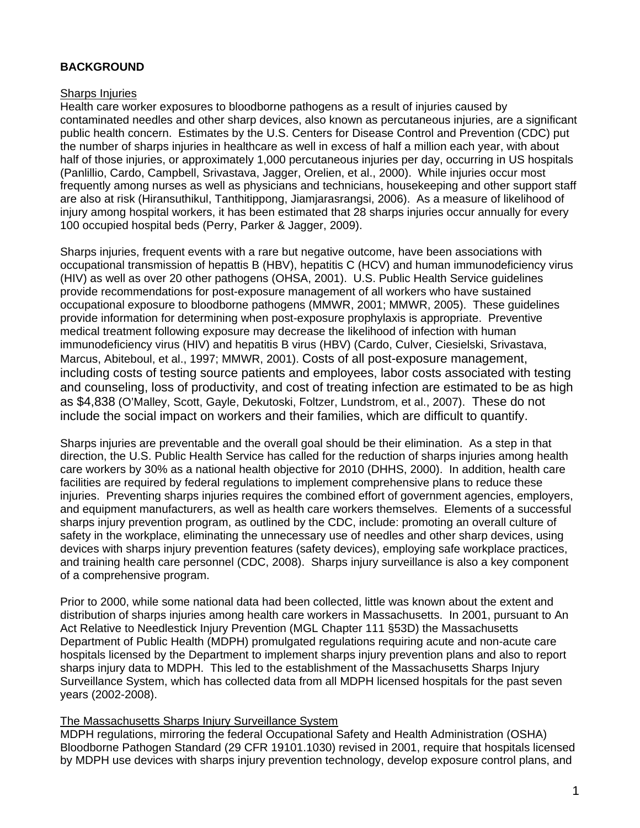## **BACKGROUND**

#### Sharps Injuries

Health care worker exposures to bloodborne pathogens as a result of injuries caused by contaminated needles and other sharp devices, also known as percutaneous injuries, are a significant public health concern. Estimates by the U.S. Centers for Disease Control and Prevention (CDC) put the number of sharps injuries in healthcare as well in excess of half a million each year, with about half of those injuries, or approximately 1,000 percutaneous injuries per day, occurring in US hospitals (Panlillio, Cardo, Campbell, Srivastava, Jagger, Orelien, et al., 2000). While injuries occur most frequently among nurses as well as physicians and technicians, housekeeping and other support staff are also at risk (Hiransuthikul, Tanthitippong, Jiamjarasrangsi, 2006). As a measure of likelihood of injury among hospital workers, it has been estimated that 28 sharps injuries occur annually for every 100 occupied hospital beds (Perry, Parker & Jagger, 2009).

Sharps injuries, frequent events with a rare but negative outcome, have been associations with occupational transmission of hepattis B (HBV), hepatitis C (HCV) and human immunodeficiency virus (HIV) as well as over 20 other pathogens (OHSA, 2001). U.S. Public Health Service guidelines provide recommendations for post-exposure management of all workers who have sustained occupational exposure to bloodborne pathogens (MMWR, 2001; MMWR, 2005). These guidelines provide information for determining when post-exposure prophylaxis is appropriate. Preventive medical treatment following exposure may decrease the likelihood of infection with human immunodeficiency virus (HIV) and hepatitis B virus (HBV) (Cardo, Culver, Ciesielski, Srivastava, Marcus, Abiteboul, et al., 1997; MMWR, 2001). Costs of all post-exposure management, including costs of testing source patients and employees, labor costs associated with testing and counseling, loss of productivity, and cost of treating infection are estimated to be as high as \$4,838 (O'Malley, Scott, Gayle, Dekutoski, Foltzer, Lundstrom, et al., 2007). These do not include the social impact on workers and their families, which are difficult to quantify.

Sharps injuries are preventable and the overall goal should be their elimination. As a step in that direction, the U.S. Public Health Service has called for the reduction of sharps injuries among health care workers by 30% as a national health objective for 2010 (DHHS, 2000). In addition, health care facilities are required by federal regulations to implement comprehensive plans to reduce these injuries. Preventing sharps injuries requires the combined effort of government agencies, employers, and equipment manufacturers, as well as health care workers themselves. Elements of a successful sharps injury prevention program, as outlined by the CDC, include: promoting an overall culture of safety in the workplace, eliminating the unnecessary use of needles and other sharp devices, using devices with sharps injury prevention features (safety devices), employing safe workplace practices, and training health care personnel (CDC, 2008). Sharps injury surveillance is also a key component of a comprehensive program.

Prior to 2000, while some national data had been collected, little was known about the extent and distribution of sharps injuries among health care workers in Massachusetts. In 2001, pursuant to An Act Relative to Needlestick Injury Prevention (MGL Chapter 111 §53D) the Massachusetts Department of Public Health (MDPH) promulgated regulations requiring acute and non-acute care hospitals licensed by the Department to implement sharps injury prevention plans and also to report sharps injury data to MDPH. This led to the establishment of the Massachusetts Sharps Injury Surveillance System, which has collected data from all MDPH licensed hospitals for the past seven years (2002-2008).

### The Massachusetts Sharps Injury Surveillance System

MDPH regulations, mirroring the federal Occupational Safety and Health Administration (OSHA) Bloodborne Pathogen Standard (29 CFR 19101.1030) revised in 2001, require that hospitals licensed by MDPH use devices with sharps injury prevention technology, develop exposure control plans, and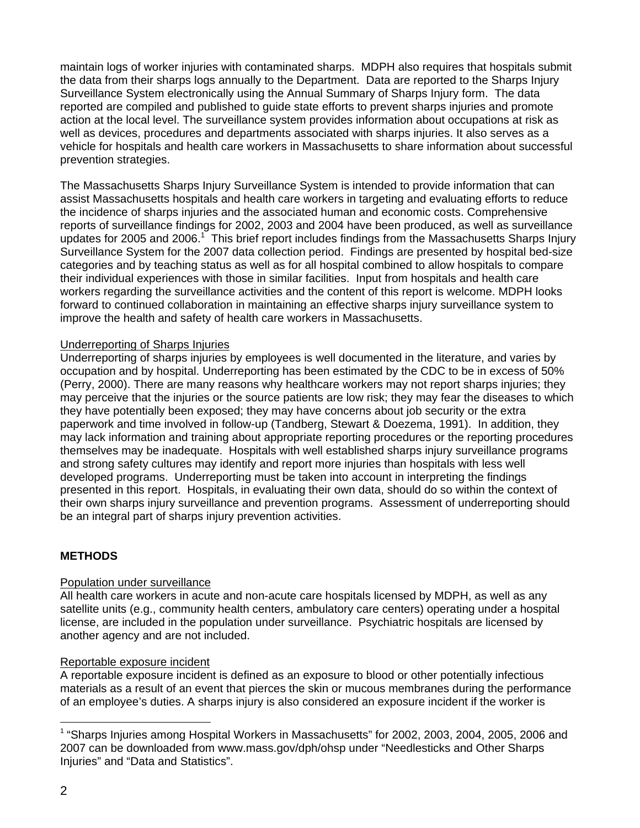maintain logs of worker injuries with contaminated sharps. MDPH also requires that hospitals submit the data from their sharps logs annually to the Department. Data are reported to the Sharps Injury Surveillance System electronically using the Annual Summary of Sharps Injury form. The data reported are compiled and published to guide state efforts to prevent sharps injuries and promote action at the local level. The surveillance system provides information about occupations at risk as well as devices, procedures and departments associated with sharps injuries. It also serves as a vehicle for hospitals and health care workers in Massachusetts to share information about successful prevention strategies.

The Massachusetts Sharps Injury Surveillance System is intended to provide information that can assist Massachusetts hospitals and health care workers in targeting and evaluating efforts to reduce the incidence of sharps injuries and the associated human and economic costs. Comprehensive reports of surveillance findings for 2002, 2003 and 2004 have been produced, as well as surveillance updates for 2005 and 2006.<sup>1</sup> This brief report includes findings from the Massachusetts Sharps Injury Surveillance System for the 2007 data collection period. Findings are presented by hospital bed-size categories and by teaching status as well as for all hospital combined to allow hospitals to compare their individual experiences with those in similar facilities. Input from hospitals and health care workers regarding the surveillance activities and the content of this report is welcome. MDPH looks forward to continued collaboration in maintaining an effective sharps injury surveillance system to improve the health and safety of health care workers in Massachusetts.

### Underreporting of Sharps Injuries

Underreporting of sharps injuries by employees is well documented in the literature, and varies by occupation and by hospital. Underreporting has been estimated by the CDC to be in excess of 50% (Perry, 2000). There are many reasons why healthcare workers may not report sharps injuries; they may perceive that the injuries or the source patients are low risk; they may fear the diseases to which they have potentially been exposed; they may have concerns about job security or the extra paperwork and time involved in follow-up (Tandberg, Stewart & Doezema, 1991). In addition, they may lack information and training about appropriate reporting procedures or the reporting procedures themselves may be inadequate. Hospitals with well established sharps injury surveillance programs and strong safety cultures may identify and report more injuries than hospitals with less well developed programs. Underreporting must be taken into account in interpreting the findings presented in this report. Hospitals, in evaluating their own data, should do so within the context of their own sharps injury surveillance and prevention programs. Assessment of underreporting should be an integral part of sharps injury prevention activities.

# **METHODS**

### Population under surveillance

All health care workers in acute and non-acute care hospitals licensed by MDPH, as well as any satellite units (e.g., community health centers, ambulatory care centers) operating under a hospital license, are included in the population under surveillance. Psychiatric hospitals are licensed by another agency and are not included.

### Reportable exposure incident

A reportable exposure incident is defined as an exposure to blood or other potentially infectious materials as a result of an event that pierces the skin or mucous membranes during the performance of an employee's duties. A sharps injury is also considered an exposure incident if the worker is

l <sup>1</sup> "Sharps Injuries among Hospital Workers in Massachusetts" for 2002, 2003, 2004, 2005, 2006 and 2007 can be downloaded from www.mass.gov/dph/ohsp under "Needlesticks and Other Sharps Injuries" and "Data and Statistics".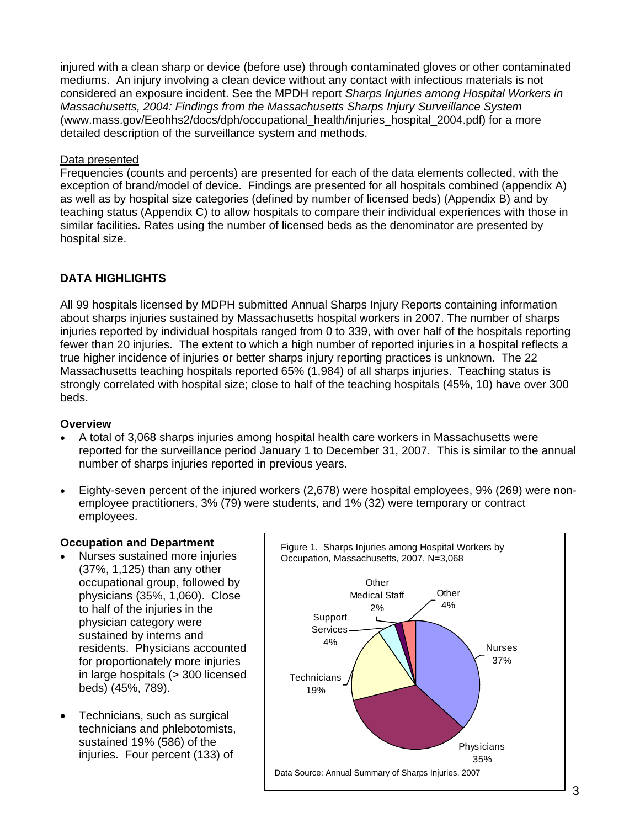injured with a clean sharp or device (before use) through contaminated gloves or other contaminated mediums. An injury involving a clean device without any contact with infectious materials is not considered an exposure incident. See the MPDH report *Sharps Injuries among Hospital Workers in Massachusetts, 2004: Findings from the Massachusetts Sharps Injury Surveillance System*  (www.mass.gov/Eeohhs2/docs/dph/occupational\_health/injuries\_hospital\_2004.pdf) for a more detailed description of the surveillance system and methods.

## Data presented

Frequencies (counts and percents) are presented for each of the data elements collected, with the exception of brand/model of device. Findings are presented for all hospitals combined (appendix A) as well as by hospital size categories (defined by number of licensed beds) (Appendix B) and by teaching status (Appendix C) to allow hospitals to compare their individual experiences with those in similar facilities. Rates using the number of licensed beds as the denominator are presented by hospital size.

# **DATA HIGHLIGHTS**

All 99 hospitals licensed by MDPH submitted Annual Sharps Injury Reports containing information about sharps injuries sustained by Massachusetts hospital workers in 2007. The number of sharps injuries reported by individual hospitals ranged from 0 to 339, with over half of the hospitals reporting fewer than 20 injuries. The extent to which a high number of reported injuries in a hospital reflects a true higher incidence of injuries or better sharps injury reporting practices is unknown. The 22 Massachusetts teaching hospitals reported 65% (1,984) of all sharps injuries. Teaching status is strongly correlated with hospital size; close to half of the teaching hospitals (45%, 10) have over 300 beds.

### **Overview**

- A total of 3,068 sharps injuries among hospital health care workers in Massachusetts were reported for the surveillance period January 1 to December 31, 2007. This is similar to the annual number of sharps injuries reported in previous years.
- Eighty-seven percent of the injured workers (2,678) were hospital employees, 9% (269) were nonemployee practitioners, 3% (79) were students, and 1% (32) were temporary or contract employees.

# **Occupation and Department**

- Nurses sustained more injuries (37%, 1,125) than any other occupational group, followed by physicians (35%, 1,060). Close to half of the injuries in the physician category were sustained by interns and residents. Physicians accounted for proportionately more injuries in large hospitals (> 300 licensed beds) (45%, 789).
- Technicians, such as surgical technicians and phlebotomists, sustained 19% (586) of the

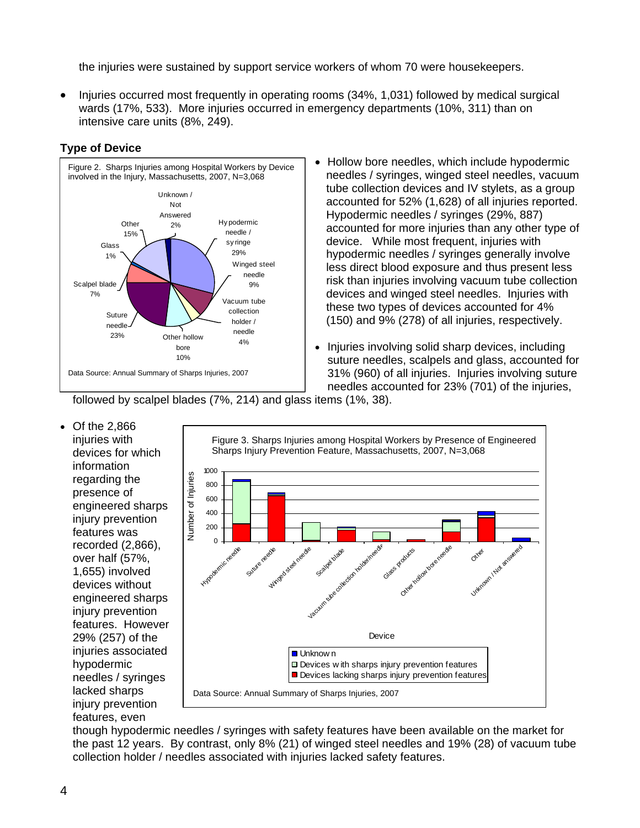the injuries were sustained by support service workers of whom 70 were housekeepers.

• Injuries occurred most frequently in operating rooms (34%, 1,031) followed by medical surgical wards (17%, 533). More injuries occurred in emergency departments (10%, 311) than on intensive care units (8%, 249).



# **Type of Device**

- Hollow bore needles, which include hypodermic needles / syringes, winged steel needles, vacuum tube collection devices and IV stylets, as a group accounted for 52% (1,628) of all injuries reported. Hypodermic needles / syringes (29%, 887) accounted for more injuries than any other type of device. While most frequent, injuries with hypodermic needles / syringes generally involve less direct blood exposure and thus present less risk than injuries involving vacuum tube collection devices and winged steel needles. Injuries with these two types of devices accounted for 4% (150) and 9% (278) of all injuries, respectively.
- Injuries involving solid sharp devices, including suture needles, scalpels and glass, accounted for 31% (960) of all injuries. Injuries involving suture needles accounted for 23% (701) of the injuries,

followed by scalpel blades (7%, 214) and glass items (1%, 38).

• Of the 2,866 injuries with devices for which information regarding the presence of engineered sharps injury prevention features was recorded (2,866), over half (57%, 1,655) involved devices without engineered sharps injury prevention features. However 29% (257) of the injuries associated hypodermic needles / syringes lacked sharps injury prevention features, even



though hypodermic needles / syringes with safety features have been available on the market for the past 12 years. By contrast, only 8% (21) of winged steel needles and 19% (28) of vacuum tube collection holder / needles associated with injuries lacked safety features.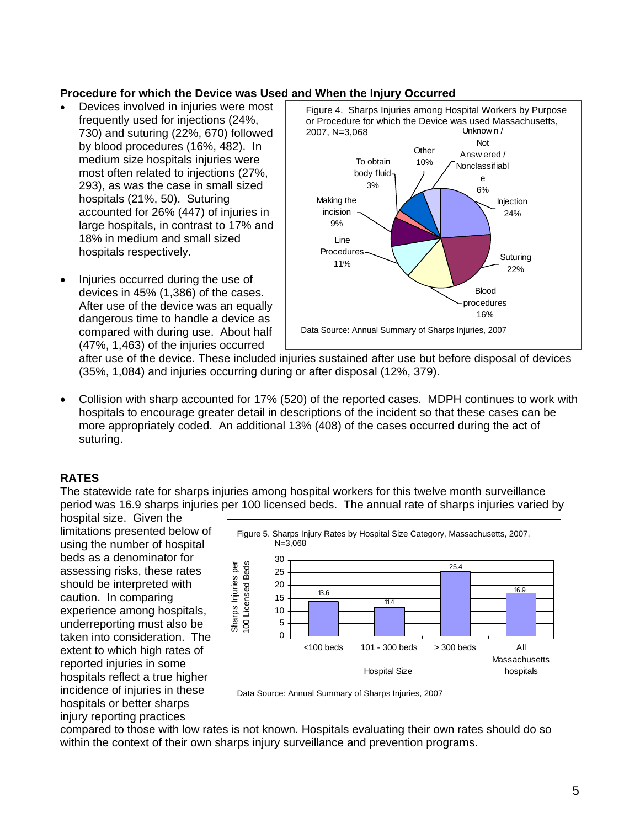## **Procedure for which the Device was Used and When the Injury Occurred**

- Devices involved in injuries were most frequently used for injections (24%, 730) and suturing (22%, 670) followed by blood procedures (16%, 482). In medium size hospitals injuries were most often related to injections (27%, 293), as was the case in small sized hospitals (21%, 50). Suturing accounted for 26% (447) of injuries in large hospitals, in contrast to 17% and 18% in medium and small sized hospitals respectively.
- Injuries occurred during the use of devices in 45% (1,386) of the cases. After use of the device was an equally dangerous time to handle a device as compared with during use. About half (47%, 1,463) of the injuries occurred



after use of the device. These included injuries sustained after use but before disposal of devices (35%, 1,084) and injuries occurring during or after disposal (12%, 379).

• Collision with sharp accounted for 17% (520) of the reported cases. MDPH continues to work with hospitals to encourage greater detail in descriptions of the incident so that these cases can be more appropriately coded. An additional 13% (408) of the cases occurred during the act of suturing.

# **RATES**

The statewide rate for sharps injuries among hospital workers for this twelve month surveillance period was 16.9 sharps injuries per 100 licensed beds. The annual rate of sharps injuries varied by

hospital size. Given the limitations presented below of using the number of hospital beds as a denominator for assessing risks, these rates should be interpreted with caution. In comparing experience among hospitals, underreporting must also be taken into consideration. The extent to which high rates of reported injuries in some hospitals reflect a true higher incidence of injuries in these hospitals or better sharps injury reporting practices



compared to those with low rates is not known. Hospitals evaluating their own rates should do so within the context of their own sharps injury surveillance and prevention programs.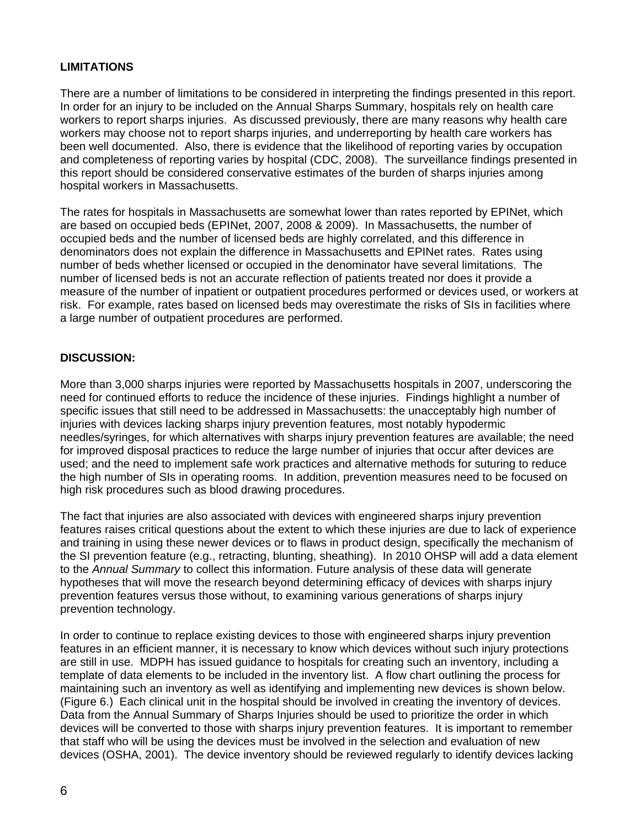## **LIMITATIONS**

There are a number of limitations to be considered in interpreting the findings presented in this report. In order for an injury to be included on the Annual Sharps Summary, hospitals rely on health care workers to report sharps injuries. As discussed previously, there are many reasons why health care workers may choose not to report sharps injuries, and underreporting by health care workers has been well documented. Also, there is evidence that the likelihood of reporting varies by occupation and completeness of reporting varies by hospital (CDC, 2008). The surveillance findings presented in this report should be considered conservative estimates of the burden of sharps injuries among hospital workers in Massachusetts.

The rates for hospitals in Massachusetts are somewhat lower than rates reported by EPINet, which are based on occupied beds (EPINet, 2007, 2008 & 2009). In Massachusetts, the number of occupied beds and the number of licensed beds are highly correlated, and this difference in denominators does not explain the difference in Massachusetts and EPINet rates. Rates using number of beds whether licensed or occupied in the denominator have several limitations. The number of licensed beds is not an accurate reflection of patients treated nor does it provide a measure of the number of inpatient or outpatient procedures performed or devices used, or workers at risk. For example, rates based on licensed beds may overestimate the risks of SIs in facilities where a large number of outpatient procedures are performed.

## **DISCUSSION:**

More than 3,000 sharps injuries were reported by Massachusetts hospitals in 2007, underscoring the need for continued efforts to reduce the incidence of these injuries. Findings highlight a number of specific issues that still need to be addressed in Massachusetts: the unacceptably high number of injuries with devices lacking sharps injury prevention features, most notably hypodermic needles/syringes, for which alternatives with sharps injury prevention features are available; the need for improved disposal practices to reduce the large number of injuries that occur after devices are used; and the need to implement safe work practices and alternative methods for suturing to reduce the high number of SIs in operating rooms. In addition, prevention measures need to be focused on high risk procedures such as blood drawing procedures.

The fact that injuries are also associated with devices with engineered sharps injury prevention features raises critical questions about the extent to which these injuries are due to lack of experience and training in using these newer devices or to flaws in product design, specifically the mechanism of the SI prevention feature (e.g., retracting, blunting, sheathing). In 2010 OHSP will add a data element to the *Annual Summary* to collect this information. Future analysis of these data will generate hypotheses that will move the research beyond determining efficacy of devices with sharps injury prevention features versus those without, to examining various generations of sharps injury prevention technology.

In order to continue to replace existing devices to those with engineered sharps injury prevention features in an efficient manner, it is necessary to know which devices without such injury protections are still in use. MDPH has issued guidance to hospitals for creating such an inventory, including a template of data elements to be included in the inventory list. A flow chart outlining the process for maintaining such an inventory as well as identifying and implementing new devices is shown below. (Figure 6.) Each clinical unit in the hospital should be involved in creating the inventory of devices. Data from the Annual Summary of Sharps Injuries should be used to prioritize the order in which devices will be converted to those with sharps injury prevention features. It is important to remember that staff who will be using the devices must be involved in the selection and evaluation of new devices (OSHA, 2001). The device inventory should be reviewed regularly to identify devices lacking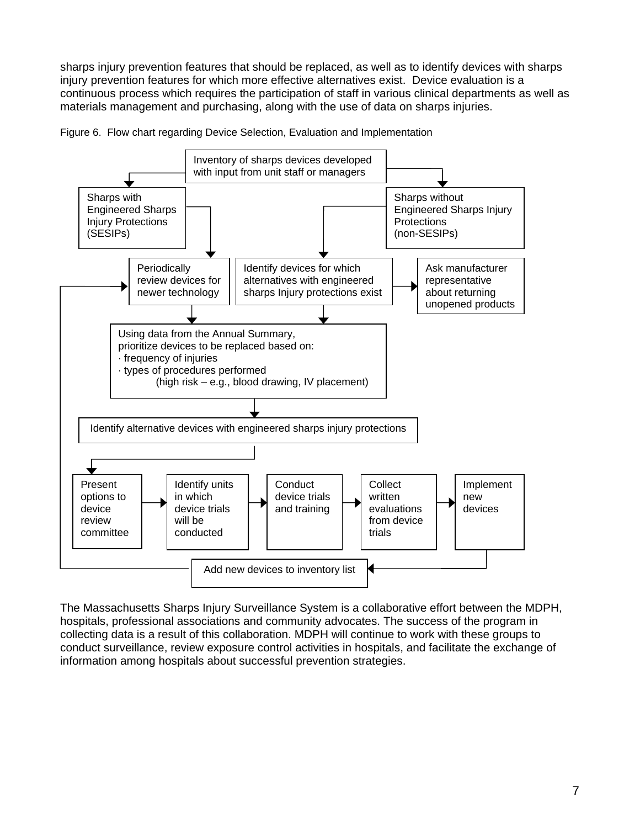sharps injury prevention features that should be replaced, as well as to identify devices with sharps injury prevention features for which more effective alternatives exist. Device evaluation is a continuous process which requires the participation of staff in various clinical departments as well as materials management and purchasing, along with the use of data on sharps injuries.





The Massachusetts Sharps Injury Surveillance System is a collaborative effort between the MDPH, hospitals, professional associations and community advocates. The success of the program in collecting data is a result of this collaboration. MDPH will continue to work with these groups to conduct surveillance, review exposure control activities in hospitals, and facilitate the exchange of information among hospitals about successful prevention strategies.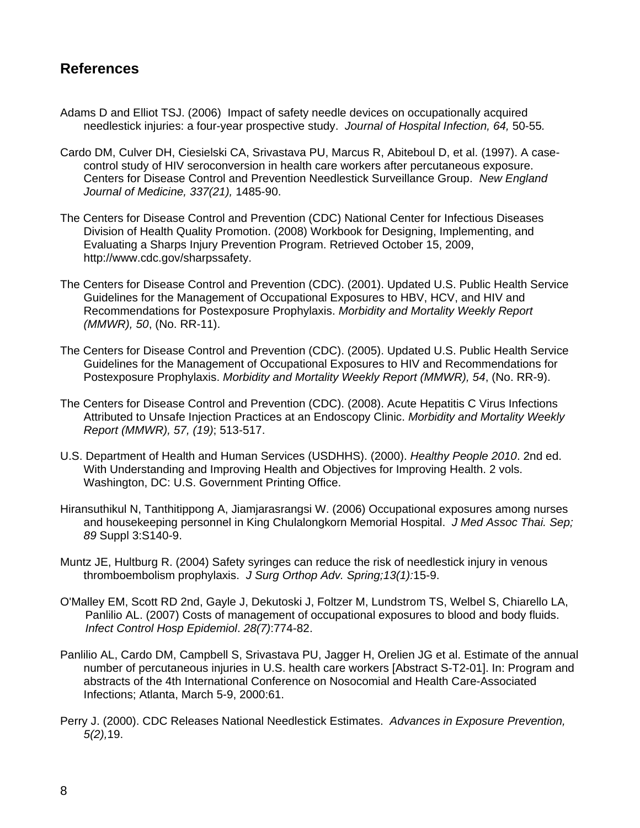# **References**

- Adams D and Elliot TSJ. (2006) Impact of safety needle devices on occupationally acquired needlestick injuries: a four-year prospective study. *Journal of Hospital Infection, 64,* 50-55*.*
- Cardo DM, Culver DH, Ciesielski CA, Srivastava PU, Marcus R, Abiteboul D, et al. (1997). A casecontrol study of HIV seroconversion in health care workers after percutaneous exposure. Centers for Disease Control and Prevention Needlestick Surveillance Group. *New England Journal of Medicine, 337(21),* 1485-90.
- The Centers for Disease Control and Prevention (CDC) National Center for Infectious Diseases Division of Health Quality Promotion. (2008) Workbook for Designing, Implementing, and Evaluating a Sharps Injury Prevention Program. Retrieved October 15, 2009, http://www.cdc.gov/sharpssafety.
- The Centers for Disease Control and Prevention (CDC). (2001). Updated U.S. Public Health Service Guidelines for the Management of Occupational Exposures to HBV, HCV, and HIV and Recommendations for Postexposure Prophylaxis. *Morbidity and Mortality Weekly Report (MMWR), 50*, (No. RR-11).
- The Centers for Disease Control and Prevention (CDC). (2005). Updated U.S. Public Health Service Guidelines for the Management of Occupational Exposures to HIV and Recommendations for Postexposure Prophylaxis. *Morbidity and Mortality Weekly Report (MMWR), 54*, (No. RR-9).
- The Centers for Disease Control and Prevention (CDC). (2008). Acute Hepatitis C Virus Infections Attributed to Unsafe Injection Practices at an Endoscopy Clinic. *Morbidity and Mortality Weekly Report (MMWR), 57, (19)*; 513-517.
- U.S. Department of Health and Human Services (USDHHS). (2000). *Healthy People 2010*. 2nd ed. With Understanding and Improving Health and Objectives for Improving Health. 2 vols. Washington, DC: U.S. Government Printing Office.
- Hiransuthikul N, Tanthitippong A, Jiamjarasrangsi W. (2006) Occupational exposures among nurses and housekeeping personnel in King Chulalongkorn Memorial Hospital. *J Med Assoc Thai. Sep; 89* Suppl 3:S140-9.
- Muntz JE, Hultburg R. (2004) Safety syringes can reduce the risk of needlestick injury in venous thromboembolism prophylaxis. *J Surg Orthop Adv. Spring;13(1):*15-9.
- O'Malley EM, Scott RD 2nd, Gayle J, Dekutoski J, Foltzer M, Lundstrom TS, Welbel S, Chiarello LA, Panlilio AL. (2007) Costs of management of occupational exposures to blood and body fluids. *Infect Control Hosp Epidemiol*. *28(7)*:774-82.
- Panlilio AL, Cardo DM, Campbell S, Srivastava PU, Jagger H, Orelien JG et al. Estimate of the annual number of percutaneous injuries in U.S. health care workers [Abstract S-T2-01]. In: Program and abstracts of the 4th International Conference on Nosocomial and Health Care-Associated Infections; Atlanta, March 5-9, 2000:61.
- Perry J. (2000). CDC Releases National Needlestick Estimates. *Advances in Exposure Prevention, 5(2),*19.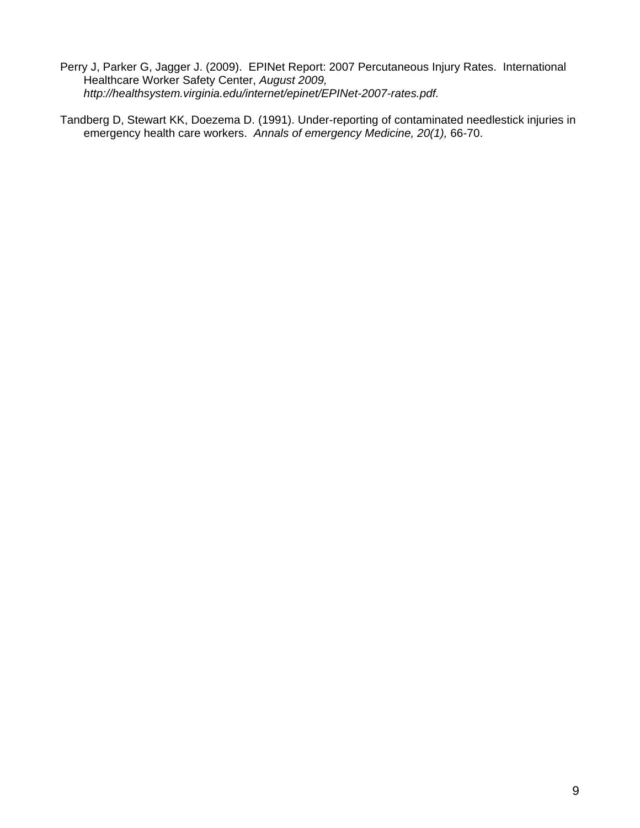- Perry J, Parker G, Jagger J. (2009). EPINet Report: 2007 Percutaneous Injury Rates. International Healthcare Worker Safety Center, *August 2009, http://healthsystem.virginia.edu/internet/epinet/EPINet-2007-rates.pdf.*
- Tandberg D, Stewart KK, Doezema D. (1991). Under-reporting of contaminated needlestick injuries in emergency health care workers. *Annals of emergency Medicine, 20(1),* 66-70.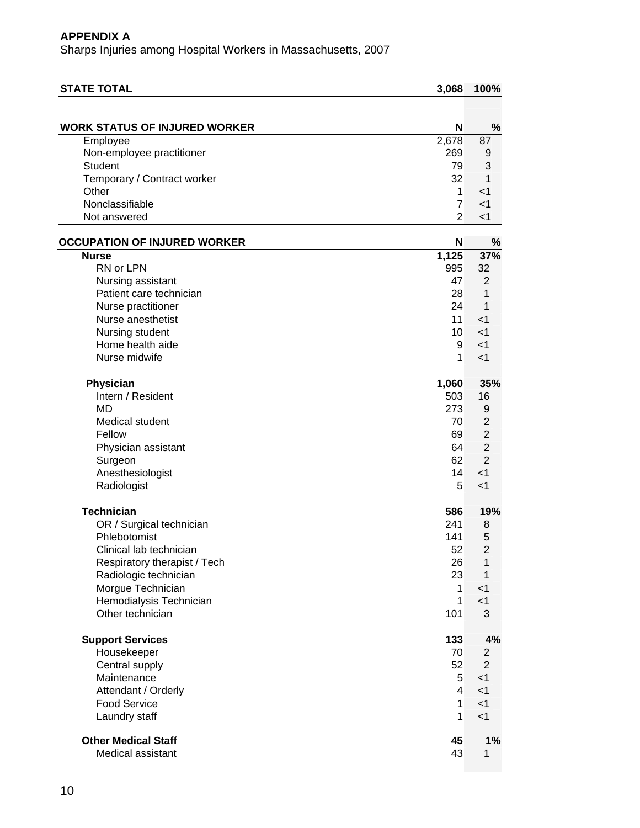| <b>STATE TOTAL</b>                   | 3,068           | 100%                    |
|--------------------------------------|-----------------|-------------------------|
|                                      |                 |                         |
| <b>WORK STATUS OF INJURED WORKER</b> | N               | %                       |
| Employee                             | 2,678           | 87                      |
| Non-employee practitioner            | 269             | 9                       |
| <b>Student</b>                       | 79              | 3                       |
| Temporary / Contract worker          | 32              | 1                       |
| Other                                | 1               | $<$ 1                   |
| Nonclassifiable                      | $\overline{7}$  | $<$ 1                   |
| Not answered                         | $\overline{2}$  | $<$ 1                   |
| <b>OCCUPATION OF INJURED WORKER</b>  | N               | %                       |
| <b>Nurse</b>                         | 1,125           | 37%                     |
| RN or LPN                            | 995             | 32                      |
| Nursing assistant                    | 47              | 2                       |
| Patient care technician              | 28              | 1                       |
| Nurse practitioner                   | 24              | 1                       |
| Nurse anesthetist                    | 11              | $<$ 1                   |
| Nursing student                      | 10 <sup>1</sup> | $<$ 1                   |
| Home health aide                     | 9               | $<$ 1                   |
| Nurse midwife                        | $\mathbf{1}$    | $<$ 1                   |
| Physician                            | 1,060           | 35%                     |
| Intern / Resident                    | 503             | 16                      |
| <b>MD</b>                            | 273             | 9                       |
| Medical student                      | 70              | $\overline{2}$          |
| Fellow                               | 69              | $\overline{2}$          |
| Physician assistant                  | 64              | $\overline{2}$          |
| Surgeon                              | 62              | $\overline{2}$          |
| Anesthesiologist                     | 14              | $<$ 1                   |
| Radiologist                          | 5               | $<$ 1                   |
| <b>Technician</b>                    | 586             | 19%                     |
| OR / Surgical technician             | 241             | 8                       |
| Phlebotomist                         | 141             | 5                       |
| Clinical lab technician              | 52              | $\overline{\mathbf{c}}$ |
| Respiratory therapist / Tech         | 26              | $\mathbf{1}$            |
| Radiologic technician                | 23              | $\mathbf{1}$            |
| Morgue Technician                    | $\mathbf{1}$    | $<$ 1                   |
| Hemodialysis Technician              | $\mathbf{1}$    | $<$ 1                   |
| Other technician                     | 101             | 3                       |
| <b>Support Services</b>              | 133             | 4%                      |
| Housekeeper                          | 70              | $\overline{c}$          |
| Central supply                       | 52              | $\overline{2}$          |
| Maintenance                          | 5               | $<$ 1                   |
| Attendant / Orderly                  | $\overline{4}$  | $<$ 1                   |
| <b>Food Service</b>                  | $\mathbf{1}$    | $<$ 1                   |
| Laundry staff                        | $\mathbf{1}$    | < 1                     |
| <b>Other Medical Staff</b>           | 45              | 1%                      |
| Medical assistant                    | 43              | 1                       |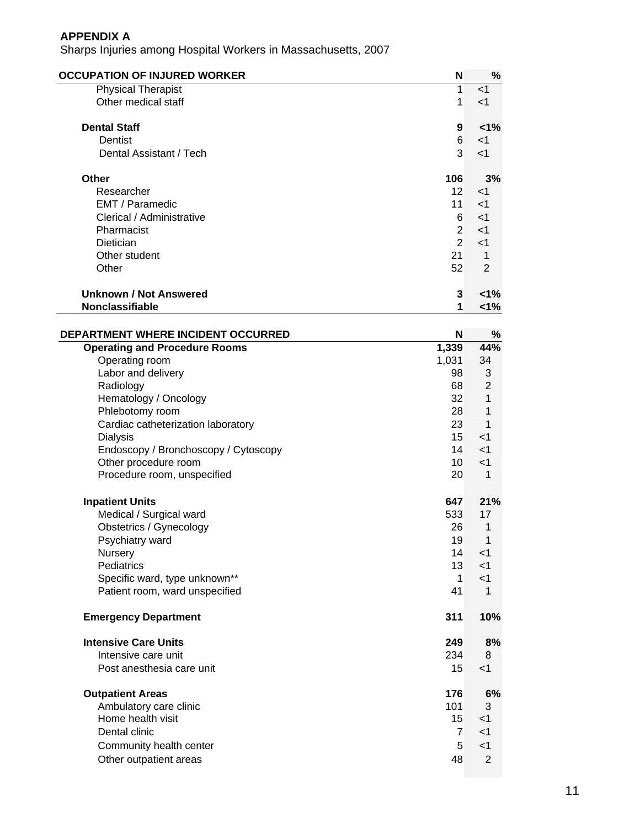| <b>OCCUPATION OF INJURED WORKER</b>  | N              | %              |
|--------------------------------------|----------------|----------------|
| <b>Physical Therapist</b>            | 1              | < 1            |
| Other medical staff                  | 1              | $<$ 1          |
| <b>Dental Staff</b>                  | 9              | $<1\%$         |
| Dentist                              | 6              | $<$ 1          |
| Dental Assistant / Tech              | 3              | $<$ 1          |
| Other                                | 106            | 3%             |
| Researcher                           | 12             | $\leq$ 1       |
| EMT / Paramedic                      | 11             | $\leq$ 1       |
| Clerical / Administrative            | 6              | $<$ 1          |
| Pharmacist                           | $\overline{2}$ | < 1            |
| Dietician                            | $\overline{2}$ | $<$ 1          |
| Other student                        | 21             | 1              |
| Other                                | 52             | $\overline{2}$ |
| <b>Unknown / Not Answered</b>        | 3              | 1%             |
| <b>Nonclassifiable</b>               | 1              | 1%             |
| DEPARTMENT WHERE INCIDENT OCCURRED   | N              | %              |
| <b>Operating and Procedure Rooms</b> | 1,339          | 44%            |
| Operating room                       | 1,031          | 34             |
| Labor and delivery                   | 98             | 3              |
| Radiology                            | 68             | $\overline{2}$ |
| Hematology / Opeology                | 22             | 1              |

| <b>Naululugy</b>                     | ပပ               | ∠              |
|--------------------------------------|------------------|----------------|
| Hematology / Oncology                | 32               | 1              |
| Phlebotomy room                      | 28               | 1              |
| Cardiac catheterization laboratory   | 23               | 1              |
| <b>Dialysis</b>                      | 15 <sup>15</sup> | $<$ 1          |
| Endoscopy / Bronchoscopy / Cytoscopy | 14               | $<$ 1          |
| Other procedure room                 | 10               | $<$ 1          |
| Procedure room, unspecified          | 20               | 1              |
| <b>Inpatient Units</b>               | 647              | 21%            |
| Medical / Surgical ward              | 533              | 17             |
| Obstetrics / Gynecology              | 26               | 1              |
| Psychiatry ward                      | 19               | 1              |
| Nursery                              | 14               | $<$ 1          |
| Pediatrics                           | 13               | $<$ 1          |
| Specific ward, type unknown**        | 1                | $<$ 1          |
| Patient room, ward unspecified       | 41               | 1              |
| <b>Emergency Department</b>          | 311              | 10%            |
| <b>Intensive Care Units</b>          | 249              | 8%             |
| Intensive care unit                  | 234              | 8              |
| Post anesthesia care unit            | 15               | $<$ 1          |
| <b>Outpatient Areas</b>              | 176              | 6%             |
| Ambulatory care clinic               | 101              | 3              |
| Home health visit                    | 15               | $<$ 1          |
| Dental clinic                        | $\overline{7}$   | $<$ 1          |
| Community health center              | 5                | $<$ 1          |
| Other outpatient areas               | 48               | $\overline{2}$ |
|                                      |                  |                |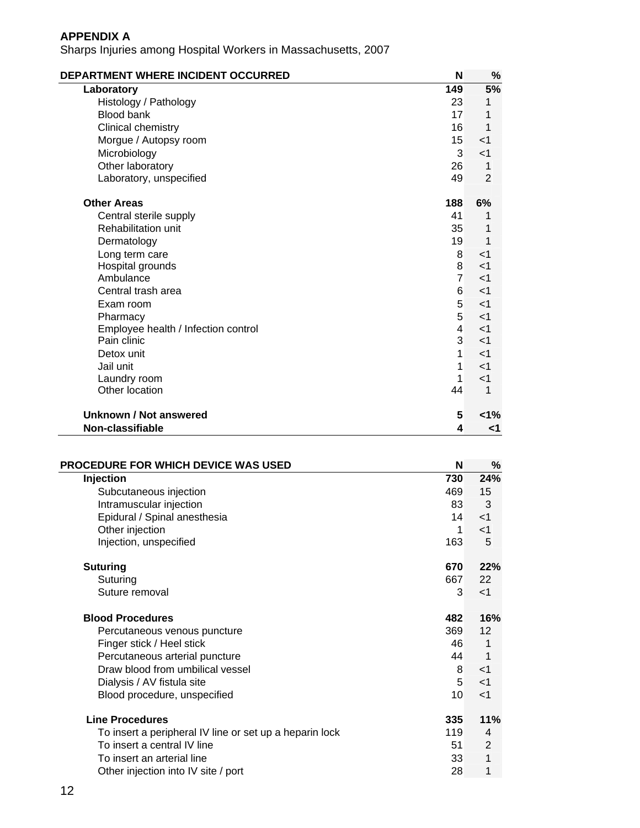| DEPARTMENT WHERE INCIDENT OCCURRED  | N              | %              |
|-------------------------------------|----------------|----------------|
| Laboratory                          | 149            | 5%             |
| Histology / Pathology               | 23             | 1              |
| Blood bank                          | 17             | 1              |
| Clinical chemistry                  | 16             | 1              |
| Morgue / Autopsy room               | 15             | $<$ 1          |
| Microbiology                        | 3              | $<$ 1          |
| Other laboratory                    | 26             | 1              |
| Laboratory, unspecified             | 49             | $\overline{2}$ |
| <b>Other Areas</b>                  | 188            | 6%             |
| Central sterile supply              | 41             | 1              |
| <b>Rehabilitation unit</b>          | 35             | 1              |
| Dermatology                         | 19             | 1              |
| Long term care                      | 8              | $<$ 1          |
| Hospital grounds                    | 8              | $<$ 1          |
| Ambulance                           | $\overline{7}$ | $<$ 1          |
| Central trash area                  | 6              | $<$ 1          |
| Exam room                           | 5              | $<$ 1          |
| Pharmacy                            | 5 <sup>1</sup> | $<$ 1          |
| Employee health / Infection control | $\overline{4}$ | $<$ 1          |
| Pain clinic                         | 3              | $<$ 1          |
| Detox unit                          | 1              | $<$ 1          |
| Jail unit                           | 1              | $<$ 1          |
| Laundry room                        | 1              | $<$ 1          |
| Other location                      | 44             | 1              |
| Unknown / Not answered              | 5              | $<1\%$         |
| Non-classifiable                    | 4              | <1             |

| <b>PROCEDURE FOR WHICH DEVICE WAS USED</b>              | N   | %     |
|---------------------------------------------------------|-----|-------|
| Injection                                               | 730 | 24%   |
| Subcutaneous injection                                  | 469 | 15    |
| Intramuscular injection                                 | 83  | 3     |
| Epidural / Spinal anesthesia                            | 14  | $<$ 1 |
| Other injection                                         | 1   | $<$ 1 |
| Injection, unspecified                                  | 163 | 5     |
| <b>Suturing</b>                                         | 670 | 22%   |
| Suturing                                                | 667 | 22    |
| Suture removal                                          | 3   | $<$ 1 |
| <b>Blood Procedures</b>                                 | 482 | 16%   |
| Percutaneous venous puncture                            | 369 | 12    |
| Finger stick / Heel stick                               | 46  | 1     |
| Percutaneous arterial puncture                          | 44  | 1     |
| Draw blood from umbilical vessel                        | 8   | $<$ 1 |
| Dialysis / AV fistula site                              | 5   | $<$ 1 |
| Blood procedure, unspecified                            | 10  | $<$ 1 |
| <b>Line Procedures</b>                                  | 335 | 11%   |
| To insert a peripheral IV line or set up a heparin lock | 119 | 4     |
| To insert a central IV line                             | 51  | 2     |
| To insert an arterial line                              | 33  | 1     |
| Other injection into IV site / port                     | 28  | 1     |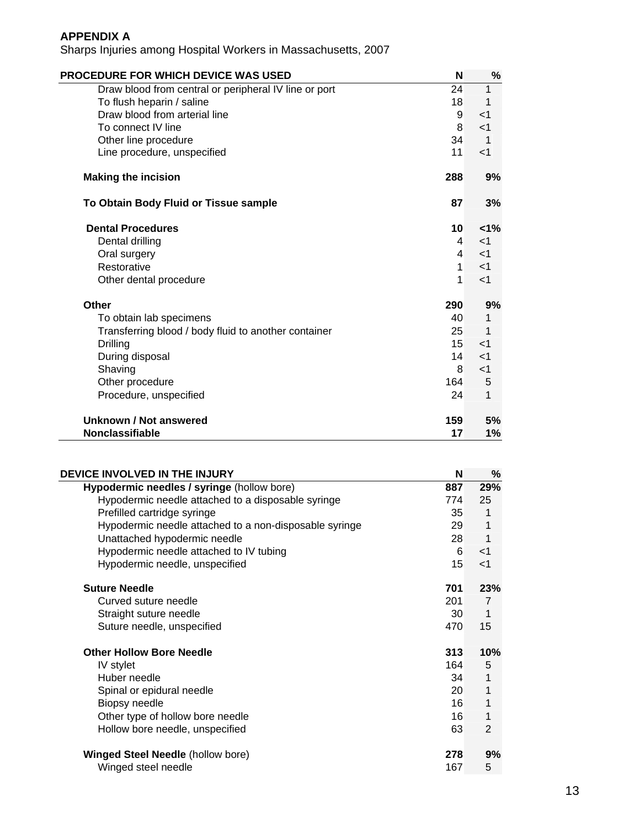| <b>PROCEDURE FOR WHICH DEVICE WAS USED</b>            | N   | %              |
|-------------------------------------------------------|-----|----------------|
| Draw blood from central or peripheral IV line or port | 24  |                |
| To flush heparin / saline                             | 18  | 1              |
| Draw blood from arterial line                         | 9   | $<$ 1          |
| To connect IV line                                    | 8   | $<$ 1          |
| Other line procedure                                  | 34  | $\overline{1}$ |
| Line procedure, unspecified                           | 11  | $<$ 1          |
| <b>Making the incision</b>                            | 288 | 9%             |
| To Obtain Body Fluid or Tissue sample                 | 87  | 3%             |
| <b>Dental Procedures</b>                              | 10  | 1%             |
| Dental drilling                                       | 4   | $\leq$ 1       |
| Oral surgery                                          | 4   | $<$ 1          |
| Restorative                                           | 1   | $\leq$ 1       |
| Other dental procedure                                | 1   | $\leq$ 1       |
| <b>Other</b>                                          | 290 | 9%             |
| To obtain lab specimens                               | 40  | 1              |
| Transferring blood / body fluid to another container  | 25  | 1              |
| <b>Drilling</b>                                       | 15  | $<$ 1          |
| During disposal                                       | 14  | $<$ 1          |
| Shaving                                               | 8   | $<$ 1          |
| Other procedure                                       | 164 | 5              |
| Procedure, unspecified                                | 24  | 1              |
| Unknown / Not answered                                | 159 | 5%             |
| <b>Nonclassifiable</b>                                | 17  | 1%             |

| DEVICE INVOLVED IN THE INJURY                          | N   | %              |
|--------------------------------------------------------|-----|----------------|
| Hypodermic needles / syringe (hollow bore)             | 887 | 29%            |
| Hypodermic needle attached to a disposable syringe     | 774 | 25             |
| Prefilled cartridge syringe                            | 35  | 1              |
| Hypodermic needle attached to a non-disposable syringe | 29  | 1              |
| Unattached hypodermic needle                           | 28  | 1              |
| Hypodermic needle attached to IV tubing                | 6   | $<$ 1          |
| Hypodermic needle, unspecified                         | 15  | $<$ 1          |
| <b>Suture Needle</b>                                   | 701 | 23%            |
| Curved suture needle                                   | 201 | $\overline{7}$ |
| Straight suture needle                                 | 30  | 1              |
| Suture needle, unspecified                             | 470 | 15             |
| <b>Other Hollow Bore Needle</b>                        | 313 | 10%            |
| IV stylet                                              | 164 | 5              |
| Huber needle                                           | 34  | 1              |
| Spinal or epidural needle                              | 20  | 1              |
| Biopsy needle                                          | 16  | 1              |
| Other type of hollow bore needle                       | 16  | 1              |
| Hollow bore needle, unspecified                        | 63  | $\overline{2}$ |
| <b>Winged Steel Needle (hollow bore)</b>               | 278 | 9%             |
| Winged steel needle                                    | 167 | 5              |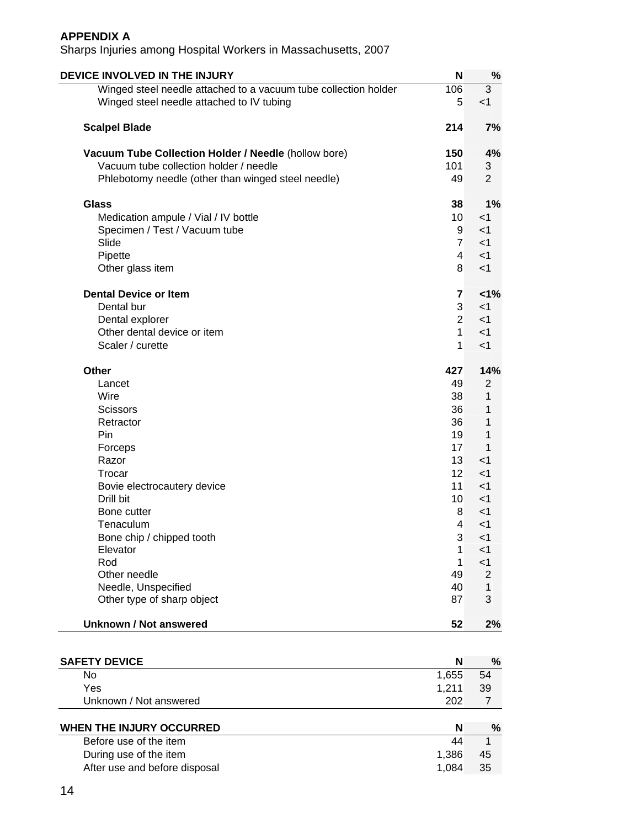| DEVICE INVOLVED IN THE INJURY                                   | N               | %              |
|-----------------------------------------------------------------|-----------------|----------------|
| Winged steel needle attached to a vacuum tube collection holder | 106             | 3              |
| Winged steel needle attached to IV tubing                       | 5               | < 1            |
| <b>Scalpel Blade</b>                                            | 214             | 7%             |
| Vacuum Tube Collection Holder / Needle (hollow bore)            | 150             | 4%             |
| Vacuum tube collection holder / needle                          | 101             | 3              |
| Phlebotomy needle (other than winged steel needle)              | 49              | $\overline{2}$ |
| <b>Glass</b>                                                    | 38              | 1%             |
| Medication ampule / Vial / IV bottle                            | 10 <sup>°</sup> | $<$ 1          |
| Specimen / Test / Vacuum tube                                   | 9               | < 1            |
| Slide                                                           | $\overline{7}$  | < 1            |
| Pipette                                                         | 4               | $<$ 1          |
| Other glass item                                                | 8               | $<$ 1          |
| <b>Dental Device or Item</b>                                    | $\overline{7}$  | 1%             |
| Dental bur                                                      | 3               | $<$ 1          |
| Dental explorer                                                 | $\overline{2}$  | $<$ 1          |
| Other dental device or item                                     | $\mathbf{1}$    | $<$ 1          |
| Scaler / curette                                                | 1               |                |
|                                                                 |                 | $<$ 1          |
| Other                                                           | 427             | 14%            |
| Lancet                                                          | 49              | $\overline{2}$ |
| Wire                                                            | 38              | 1              |
| <b>Scissors</b>                                                 | 36              | 1              |
| Retractor                                                       | 36              | 1              |
| Pin                                                             | 19              | 1              |
| Forceps                                                         | 17              | 1              |
| Razor                                                           | 13              | $<$ 1          |
| Trocar                                                          | 12              | $<$ 1          |
| Bovie electrocautery device                                     | 11              | $<$ 1          |
| Drill bit                                                       | 10 <sup>°</sup> | $<$ 1          |
| Bone cutter                                                     | 8               | $<$ 1          |
| Tenaculum                                                       | 4               | $<$ 1          |
| Bone chip / chipped tooth                                       | 3               | <1             |
| Elevator                                                        | 1               | $<$ 1          |
| Rod                                                             | 1               | $<$ 1          |
| Other needle                                                    | 49              | $\overline{2}$ |
| Needle, Unspecified                                             | 40              | 1              |
| Other type of sharp object                                      | 87              | 3              |
|                                                                 |                 |                |
| <b>Unknown / Not answered</b>                                   | 52              | 2%             |
|                                                                 |                 |                |
| <b>SAFETY DEVICE</b>                                            | N               | %              |
| No                                                              | 1,655           | 54             |
| Yes                                                             | 1,211           | 39             |
| Unknown / Not answered                                          | 202             | $\overline{7}$ |
| WHEN THE INJURY OCCURRED                                        | N               | $\%$           |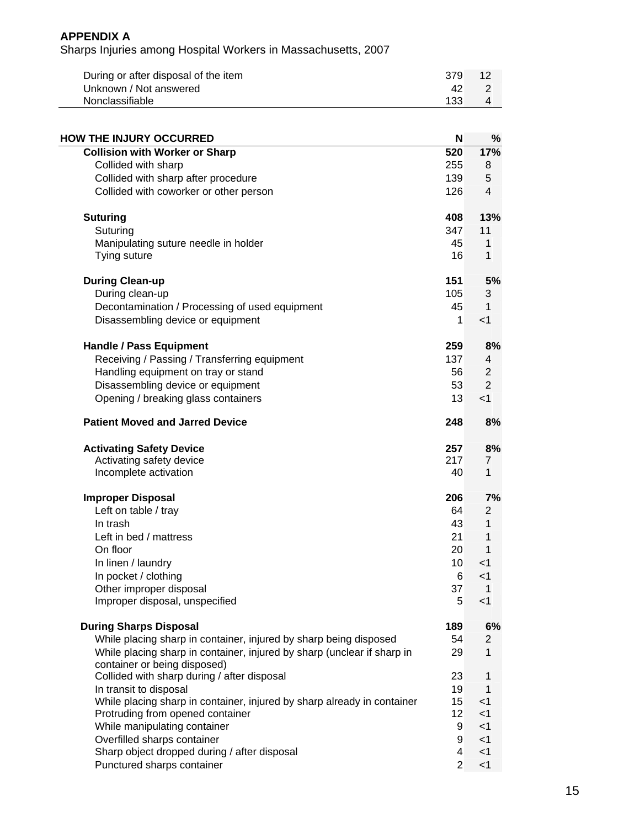| During or after disposal of the item | 379 | -12 |
|--------------------------------------|-----|-----|
| Unknown / Not answered               | 42  |     |
| Nonclassifiable                      | 133 |     |

| <b>HOW THE INJURY OCCURRED</b>                                             | N               | %              |
|----------------------------------------------------------------------------|-----------------|----------------|
| <b>Collision with Worker or Sharp</b>                                      | 520             | 17%            |
| Collided with sharp                                                        | 255             | 8              |
| Collided with sharp after procedure                                        | 139             | 5              |
| Collided with coworker or other person                                     | 126             | $\overline{4}$ |
| <b>Suturing</b>                                                            | 408             | 13%            |
| Suturing                                                                   | 347             | 11             |
| Manipulating suture needle in holder                                       | 45              | 1              |
| Tying suture                                                               | 16              | 1              |
| <b>During Clean-up</b>                                                     | 151             | 5%             |
| During clean-up                                                            | 105             | 3              |
| Decontamination / Processing of used equipment                             | 45              | 1              |
| Disassembling device or equipment                                          | 1               | $<$ 1          |
| <b>Handle / Pass Equipment</b>                                             | 259             | 8%             |
| Receiving / Passing / Transferring equipment                               | 137             | 4              |
| Handling equipment on tray or stand                                        | 56              | $\overline{2}$ |
| Disassembling device or equipment                                          | 53              | $\overline{2}$ |
| Opening / breaking glass containers                                        | 13              | $<$ 1          |
| <b>Patient Moved and Jarred Device</b>                                     | 248             | 8%             |
| <b>Activating Safety Device</b>                                            | 257             | 8%             |
| Activating safety device                                                   | 217             | 7              |
| Incomplete activation                                                      | 40              | 1              |
| <b>Improper Disposal</b>                                                   | 206             | 7%             |
| Left on table / tray                                                       | 64              | $\overline{2}$ |
| In trash                                                                   | 43              | 1              |
| Left in bed / mattress                                                     | 21              | 1              |
| On floor                                                                   | 20              | $\mathbf 1$    |
| In linen / laundry                                                         | 10 <sup>°</sup> | $<$ 1          |
| In pocket / clothing                                                       | 6               | $<$ 1          |
| Other improper disposal                                                    | 37              | 1              |
| Improper disposal, unspecified                                             | 5               | $<$ 1          |
| <b>During Sharps Disposal</b>                                              | 189             | 6%             |
| While placing sharp in container, injured by sharp being disposed          | 54              | 2              |
| While placing sharp in container, injured by sharp (unclear if sharp in    | 29              | 1              |
| container or being disposed)                                               |                 |                |
| Collided with sharp during / after disposal                                | 23              | 1              |
| In transit to disposal                                                     | 19              | 1              |
| While placing sharp in container, injured by sharp already in container    | 15              | $<$ 1          |
| Protruding from opened container                                           | 12              | $<$ 1          |
| While manipulating container                                               | 9               | $<$ 1          |
| Overfilled sharps container                                                | 9<br>4          | $<$ 1<br>$<$ 1 |
| Sharp object dropped during / after disposal<br>Punctured sharps container | $\overline{2}$  | $<$ 1          |
|                                                                            |                 |                |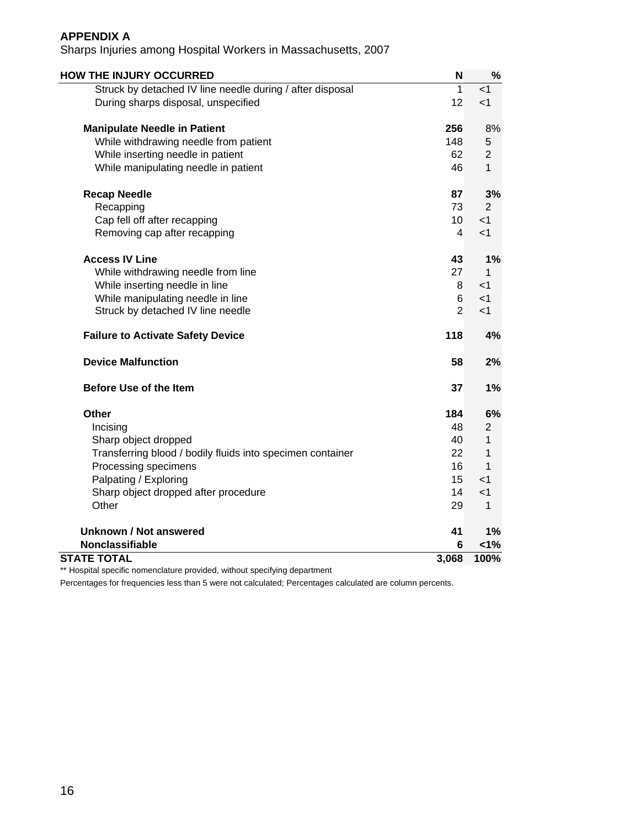Sharps Injuries among Hospital Workers in Massachusetts, 2007

| <b>HOW THE INJURY OCCURRED</b>                             | $\mathsf{N}$            | $\%$           |
|------------------------------------------------------------|-------------------------|----------------|
| Struck by detached IV line needle during / after disposal  | $\mathbf{1}$            | <1             |
| During sharps disposal, unspecified                        | 12                      | < 1            |
| <b>Manipulate Needle in Patient</b>                        | 256                     | 8%             |
| While withdrawing needle from patient                      | 148                     | 5              |
| While inserting needle in patient                          | 62                      | $\overline{2}$ |
| While manipulating needle in patient                       | 46                      | $\mathbf{1}$   |
| <b>Recap Needle</b>                                        | 87                      | 3%             |
| Recapping                                                  | 73                      | $\overline{2}$ |
| Cap fell off after recapping                               | 10 <sup>1</sup>         | $<$ 1          |
| Removing cap after recapping                               | $\overline{\mathbf{A}}$ | $<$ 1          |
| <b>Access IV Line</b>                                      | 43                      | 1%             |
| While withdrawing needle from line                         | 27                      | 1              |
| While inserting needle in line                             | 8                       | $<$ 1          |
| While manipulating needle in line                          | 6                       | $<$ 1          |
| Struck by detached IV line needle                          | $\overline{2}$          | $<$ 1          |
| <b>Failure to Activate Safety Device</b>                   | 118                     | 4%             |
| <b>Device Malfunction</b>                                  | 58                      | 2%             |
| <b>Before Use of the Item</b>                              | 37                      | 1%             |
| Other                                                      | 184                     | 6%             |
| Incising                                                   | 48                      | 2              |
| Sharp object dropped                                       | 40                      | 1              |
| Transferring blood / bodily fluids into specimen container | 22                      | 1              |
| Processing specimens                                       | 16                      | $\mathbf 1$    |
| Palpating / Exploring                                      | 15                      | $<$ 1          |
| Sharp object dropped after procedure                       | 14                      | $<$ 1          |
| Other                                                      | 29                      | 1              |
| <b>Unknown / Not answered</b>                              | 41                      | 1%             |
| Nonclassifiable                                            | 6                       | 1%             |
| <b>STATE TOTAL</b>                                         | 3,068                   | 100%           |

\*\* Hospital specific nomenclature provided, without specifying department

Percentages for frequencies less than 5 were not calculated; Percentages calculated are column percents.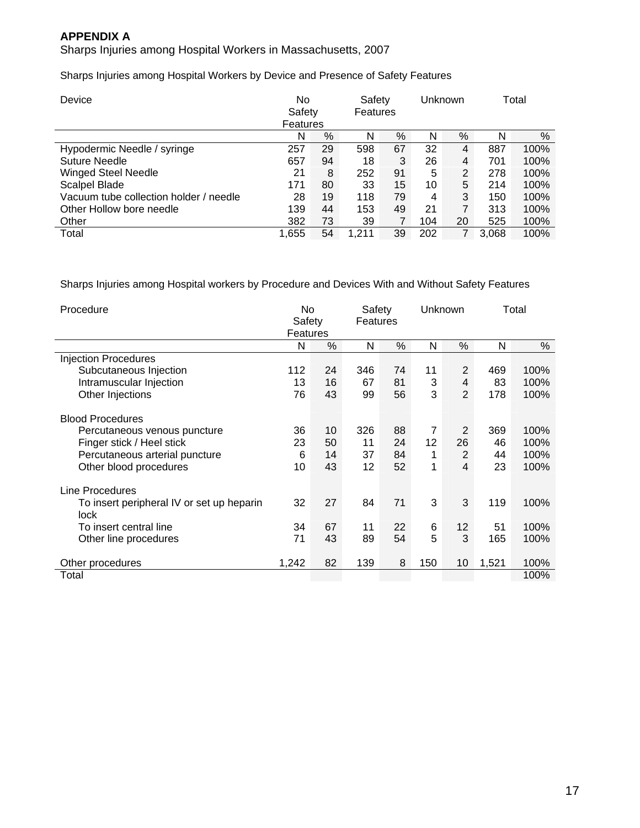Sharps Injuries among Hospital Workers in Massachusetts, 2007

Sharps Injuries among Hospital Workers by Device and Presence of Safety Features

| Device                                 | No<br>Safety<br>Features | Safety<br>Features |       |    | Unknown |    | Total |      |
|----------------------------------------|--------------------------|--------------------|-------|----|---------|----|-------|------|
|                                        | N                        | %                  | N     | %  | N       | %  | N     | $\%$ |
| Hypodermic Needle / syringe            | 257                      | 29                 | 598   | 67 | 32      | 4  | 887   | 100% |
| Suture Needle                          | 657                      | 94                 | 18    | 3  | 26      | 4  | 701   | 100% |
| <b>Winged Steel Needle</b>             | 21                       | 8                  | 252   | 91 | 5       | 2  | 278   | 100% |
| Scalpel Blade                          | 171                      | 80                 | 33    | 15 | 10      | 5  | 214   | 100% |
| Vacuum tube collection holder / needle | 28                       | 19                 | 118   | 79 | 4       | 3  | 150   | 100% |
| Other Hollow bore needle               | 139                      | 44                 | 153   | 49 | 21      | 7  | 313   | 100% |
| Other                                  | 382                      | 73                 | 39    | 7  | 104     | 20 | 525   | 100% |
| Total                                  | 1,655                    | 54                 | 1.211 | 39 | 202     |    | 3.068 | 100% |

Sharps Injuries among Hospital workers by Procedure and Devices With and Without Safety Features

| Procedure                                                                                                              | No<br>Safety<br>Features |                | Safety<br>Features |                | Unknown                   |                           | Total           |                      |
|------------------------------------------------------------------------------------------------------------------------|--------------------------|----------------|--------------------|----------------|---------------------------|---------------------------|-----------------|----------------------|
|                                                                                                                        | N                        | $\%$           | N                  | $\%$           | N                         | $\%$                      | N               | %                    |
| <b>Injection Procedures</b>                                                                                            |                          |                |                    |                |                           |                           |                 |                      |
| Subcutaneous Injection                                                                                                 | 112                      | 24             | 346                | 74             | 11                        | 2                         | 469             | 100%                 |
| Intramuscular Injection                                                                                                | 13                       | 16             | 67                 | 81             | 3                         | 4                         | 83              | 100%                 |
| Other Injections                                                                                                       | 76                       | 43             | 99                 | 56             | 3                         | $\overline{2}$            | 178             | 100%                 |
| <b>Blood Procedures</b><br>Percutaneous venous puncture<br>Finger stick / Heel stick<br>Percutaneous arterial puncture | 36<br>23<br>6            | 10<br>50<br>14 | 326<br>11<br>37    | 88<br>24<br>84 | $\overline{7}$<br>12<br>1 | 2<br>26<br>$\overline{2}$ | 369<br>46<br>44 | 100%<br>100%<br>100% |
| Other blood procedures                                                                                                 | 10                       | 43             | 12                 | 52             | 1                         | 4                         | 23              | 100%                 |
| Line Procedures<br>To insert peripheral IV or set up heparin                                                           | 32                       | 27             | 84                 | 71             | 3                         | 3                         | 119             | 100%                 |
| lock<br>To insert central line<br>Other line procedures                                                                | 34<br>71                 | 67<br>43       | 11<br>89           | 22<br>54       | 6<br>5                    | 12<br>3                   | 51<br>165       | 100%<br>100%         |
| Other procedures                                                                                                       | 1,242                    | 82             | 139                | 8              | 150                       | 10                        | 1,521           | 100%                 |
| Total                                                                                                                  |                          |                |                    |                |                           |                           |                 | 100%                 |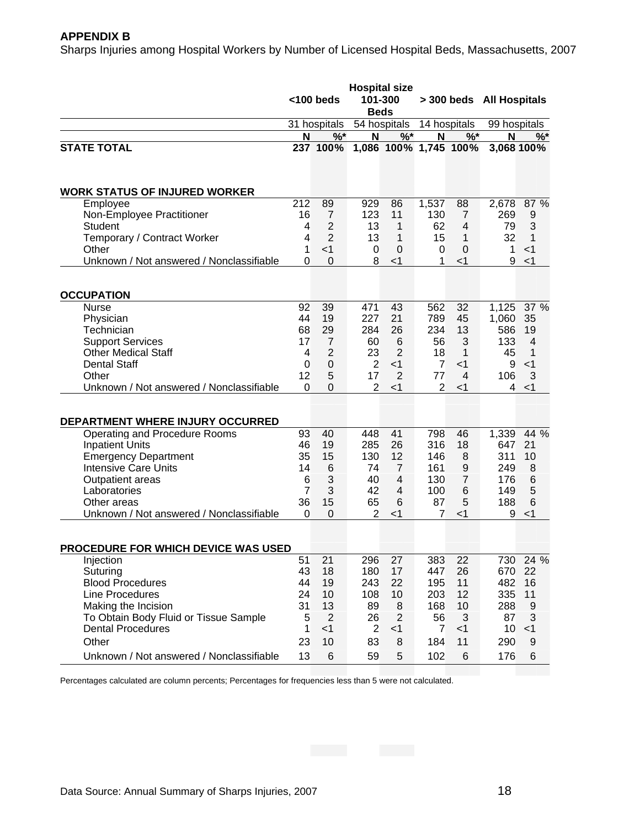#### **APPENDIX B**

Sharps Injuries among Hospital Workers by Number of Licensed Hospital Beds, Massachusetts, 2007

|                                                       | <b>Hospital size</b><br><100 beds<br>101-300<br><b>Beds</b> |                                  |                | > 300 beds All Hospitals |                      |                      |              |                  |
|-------------------------------------------------------|-------------------------------------------------------------|----------------------------------|----------------|--------------------------|----------------------|----------------------|--------------|------------------|
|                                                       |                                                             | 31 hospitals                     |                | 54 hospitals             |                      | 14 hospitals         | 99 hospitals |                  |
|                                                       | N                                                           | $%$ *                            | N              | $%$ *                    | N                    | $%$ *                | N            | $%^*$            |
| <b>STATE TOTAL</b>                                    |                                                             | 237 100%                         |                | 1,086 100% 1,745 100%    |                      |                      |              | 3.068 100%       |
| <b>WORK STATUS OF INJURED WORKER</b>                  |                                                             |                                  |                |                          |                      |                      |              |                  |
| Employee                                              | 212                                                         | 89                               | 929            | 86                       | 1,537                | 88                   | 2,678        | 87 %             |
| Non-Employee Practitioner                             | 16                                                          | $\overline{7}$                   | 123            | 11                       | 130                  | 7                    | 269          | 9                |
| <b>Student</b>                                        | $\overline{4}$                                              | 2                                | 13             | 1                        | 62                   | 4                    | 79           | 3                |
| Temporary / Contract Worker                           | 4                                                           | 2                                | 13             | 1                        | 15                   | 1                    | 32           | 1                |
| Other<br>Unknown / Not answered / Nonclassifiable     | 1<br>0                                                      | $<$ 1<br>$\Omega$                | 0<br>8         | $\Omega$<br>$<$ 1        | 0<br>1               | $\mathbf 0$<br>$<$ 1 | 1<br>9       | $<$ 1<br>< 1     |
|                                                       |                                                             |                                  |                |                          |                      |                      |              |                  |
| <b>OCCUPATION</b>                                     |                                                             |                                  |                |                          |                      |                      |              |                  |
| <b>Nurse</b>                                          | 92                                                          | 39                               | 471            | 43                       | 562                  | 32                   | 1,125        | 37 %             |
| Physician                                             | 44                                                          | 19                               | 227            | 21                       | 789                  | 45                   | 1,060        | 35               |
| Technician                                            | 68                                                          | 29                               | 284            | 26                       | 234                  | 13                   | 586          | 19               |
| <b>Support Services</b><br><b>Other Medical Staff</b> | 17<br>$\overline{4}$                                        | $\overline{7}$<br>$\overline{2}$ | 60<br>23       | 6<br>$\overline{2}$      | 56                   | 3<br>$\mathbf{1}$    | 133          | $\overline{4}$   |
| <b>Dental Staff</b>                                   | $\Omega$                                                    |                                  | $\overline{2}$ | $<$ 1                    | 18                   |                      | 45           | 1<br>$<$ 1       |
| Other                                                 | 12                                                          | $\mathbf 0$<br>5                 | 17             | 2                        | $\overline{7}$<br>77 | -1<br>4              | 9<br>106     | 3                |
| Unknown / Not answered / Nonclassifiable              | $\Omega$                                                    | $\Omega$                         | 2              | $<$ 1                    | 2                    | $<$ 1                | 4            | $<$ 1            |
|                                                       |                                                             |                                  |                |                          |                      |                      |              |                  |
| DEPARTMENT WHERE INJURY OCCURRED                      |                                                             |                                  |                |                          |                      |                      |              |                  |
| Operating and Procedure Rooms                         | 93                                                          | 40                               | 448            | 41                       | 798                  | 46                   | 1,339        | 44 %             |
| <b>Inpatient Units</b>                                | 46                                                          | 19                               | 285            | 26                       | 316                  | 18                   | 647          | 21               |
| <b>Emergency Department</b>                           | 35                                                          | 15                               | 130            | 12                       | 146                  | 8                    | 311          | 10               |
| <b>Intensive Care Units</b>                           | 14                                                          | 6                                | 74             | $\overline{7}$           | 161                  | $\boldsymbol{9}$     | 249          | 8                |
| Outpatient areas                                      | 6                                                           | 3                                | 40             | $\overline{4}$           | 130                  | $\overline{7}$       | 176          | 6                |
| Laboratories                                          | $\overline{7}$                                              | 3                                | 42             | 4                        | 100                  | 6                    | 149          | 5                |
| Other areas                                           | 36                                                          | 15                               | 65             | 6                        | 87                   | 5                    | 188          | 6                |
| Unknown / Not answered / Nonclassifiable              | 0                                                           | $\mathbf 0$                      | 2              | $<$ 1                    | 7                    | $<$ 1                | 9            | $<$ 1            |
|                                                       |                                                             |                                  |                |                          |                      |                      |              |                  |
| <b>PROCEDURE FOR WHICH DEVICE WAS USED</b>            |                                                             |                                  |                |                          |                      |                      |              |                  |
| Injection                                             | 51                                                          | 21                               | 296            | 27                       | 383                  | 22                   | 730          | 24 %             |
| Suturing                                              | 43                                                          | 18                               | 180            | 17                       | 447                  | 26                   | 670          | 22               |
| <b>Blood Procedures</b>                               | 44                                                          | 19                               | 243            | 22                       | 195                  | 11                   | 482          | 16               |
| Line Procedures                                       | 24                                                          | 10                               | 108            | 10                       | 203                  | 12                   | 335          | 11               |
| Making the Incision                                   | 31                                                          | 13                               | 89             | 8                        | 168                  | 10                   | 288          | 9                |
| To Obtain Body Fluid or Tissue Sample                 | 5                                                           | $\overline{2}$                   | 26             | $\overline{2}$           | 56                   | 3                    | 87           | 3                |
| <b>Dental Procedures</b>                              | 1                                                           | $<$ 1                            | $\overline{2}$ | $<$ 1                    | $\overline{7}$       | $<$ 1                | 10           | $<$ 1            |
| Other                                                 | 23                                                          | 10                               | 83             | 8                        | 184                  | 11                   | 290          | $\boldsymbol{9}$ |
| Unknown / Not answered / Nonclassifiable              | 13                                                          | 6                                | 59             | 5                        | 102                  | $\,6$                | 176          | 6                |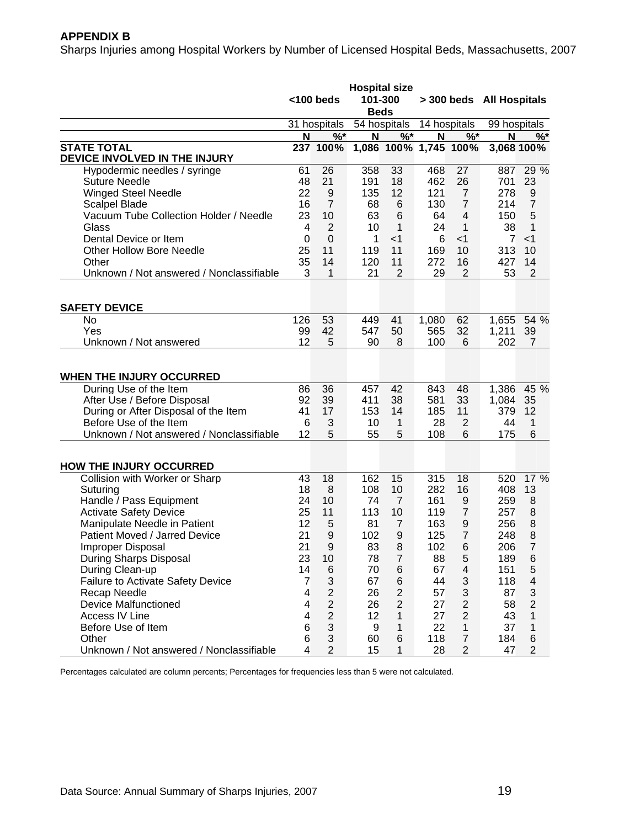## **APPENDIX B**

Sharps Injuries among Hospital Workers by Number of Licensed Hospital Beds, Massachusetts, 2007

|                                          |                 | <100 beds                 | <b>Hospital size</b><br>101-300<br><b>Beds</b> |                       |              |                         | > 300 beds All Hospitals |                |
|------------------------------------------|-----------------|---------------------------|------------------------------------------------|-----------------------|--------------|-------------------------|--------------------------|----------------|
|                                          |                 | 31 hospitals 54 hospitals |                                                |                       | 14 hospitals |                         | 99 hospitals             |                |
|                                          | N               | $%$ *                     | N                                              | $%^*$                 | N            | $%^*$                   | N                        | $%^*$          |
| <b>STATE TOTAL</b>                       |                 | 237 100%                  |                                                | 1,086 100% 1,745 100% |              |                         |                          | 3,068 100%     |
| DEVICE INVOLVED IN THE INJURY            |                 |                           |                                                |                       |              |                         |                          |                |
| Hypodermic needles / syringe             | 61              | 26                        | 358                                            | 33                    | 468          | 27                      | 887                      | 29 %           |
| <b>Suture Needle</b>                     | 48              | 21                        | 191                                            | 18                    | 462          | 26                      | 701                      | 23             |
| <b>Winged Steel Needle</b>               | 22              | 9                         | 135                                            | 12                    | 121          | $\overline{7}$          | 278                      | 9              |
| <b>Scalpel Blade</b>                     | 16              | $\overline{7}$            | 68                                             | 6                     | 130          | $\overline{7}$          | 214                      | $\overline{7}$ |
| Vacuum Tube Collection Holder / Needle   | 23              | 10                        | 63                                             | 6                     | 64           | 4                       | 150                      | 5              |
| Glass                                    | 4               | 2                         | 10                                             | 1                     | 24           | 1                       | 38                       | 1              |
| Dental Device or Item                    | $\Omega$        | $\mathbf 0$               | 1                                              | $<$ 1                 | 6            | $<$ 1                   | $\overline{7}$           | $<$ 1          |
| <b>Other Hollow Bore Needle</b>          | 25              | 11                        | 119                                            | 11                    | 169          | 10                      | 313                      | 10             |
| Other                                    | 35              | 14                        | 120                                            | 11                    | 272          | 16                      | 427                      | 14             |
| Unknown / Not answered / Nonclassifiable | 3               | 1                         | 21                                             | $\overline{2}$        | 29           | $\overline{2}$          | 53                       | $\overline{2}$ |
|                                          |                 |                           |                                                |                       |              |                         |                          |                |
| <b>SAFETY DEVICE</b>                     |                 |                           |                                                |                       |              |                         |                          |                |
| No                                       | 126             | 53                        | 449                                            | 41                    | 1,080        | 62                      | 1,655                    | 54 %           |
| Yes                                      | 99              | 42                        | 547                                            | 50                    | 565          | 32                      | 1,211                    | 39             |
| Unknown / Not answered                   | 12              | 5                         | 90                                             | 8                     | 100          | 6                       | 202                      | $\overline{7}$ |
|                                          |                 |                           |                                                |                       |              |                         |                          |                |
| WHEN THE INJURY OCCURRED                 |                 |                           |                                                |                       |              |                         |                          |                |
| During Use of the Item                   | 86              | 36                        | 457                                            | 42                    | 843          | 48                      | 1,386                    | 45 %           |
| After Use / Before Disposal              | 92              | 39                        | 411                                            | 38                    | 581          | 33                      | 1,084                    | 35             |
| During or After Disposal of the Item     | 41              | 17                        | 153                                            | 14                    | 185          | 11                      | 379                      | 12             |
| Before Use of the Item                   | 6               | 3                         | 10                                             | $\mathbf{1}$          | 28           | $\overline{2}$          | 44                       | 1              |
| Unknown / Not answered / Nonclassifiable | 12              | 5                         | 55                                             | 5                     | 108          | 6                       | 175                      | 6              |
|                                          |                 |                           |                                                |                       |              |                         |                          |                |
| <b>HOW THE INJURY OCCURRED</b>           |                 |                           |                                                |                       |              |                         |                          |                |
| Collision with Worker or Sharp           | 43              | 18                        | 162                                            | 15                    | 315          | 18                      | 520                      | 17 %           |
| Suturing                                 | 18              | 8                         | 108                                            | 10                    | 282          | 16                      | 408                      | 13             |
| Handle / Pass Equipment                  | 24              | 10                        | 74                                             | $\overline{7}$        | 161          | 9                       | 259                      | 8              |
| <b>Activate Safety Device</b>            | 25              | 11                        | 113                                            | 10                    | 119          | $\overline{7}$          | 257                      | 8              |
| Manipulate Needle in Patient             | 12              | 5                         | 81                                             | $\overline{7}$        | 163          | 9                       | 256                      | 8              |
| Patient Moved / Jarred Device            | 21              | 9                         | 102                                            | 9                     | 125          | $\overline{7}$          | 248                      | 8              |
| Improper Disposal                        | 21              | 9                         | 83                                             | 8                     | 102          | 6                       | 206                      | 7              |
| During Sharps Disposal                   | 23              | 10                        | 78                                             | $\overline{7}$        | 88           | 5                       | 189                      | 6              |
| During Clean-up                          | 14              | 6                         | 70                                             | $6\phantom{1}6$       | 67           | $\overline{\mathbf{4}}$ | 151                      | 5              |
| <b>Failure to Activate Safety Device</b> | 7               | $\sqrt{3}$                | 67                                             | $\,6$                 | 44           | 3                       | 118                      | 4              |
| Recap Needle                             | 4               | $\overline{2}$            | 26                                             | $\mathbf{2}$          | 57           | 3                       | 87                       | 3              |
| <b>Device Malfunctioned</b>              | $\overline{4}$  | $\mathbf{2}$              | 26                                             | $\mathbf 2$           | 27           | $\overline{\mathbf{c}}$ | 58                       | $\overline{2}$ |
| Access IV Line                           | $\overline{4}$  | $\overline{c}$            | 12                                             | $\mathbf{1}$          | 27           | $\overline{c}$          | 43                       | 1              |
| Before Use of Item                       | $6\phantom{1}6$ | $\mathbf{3}$              | 9                                              | $\mathbf 1$           | 22           | $\mathbf{1}$            | 37                       | 1              |
| Other                                    | $6\phantom{1}6$ | $\mathfrak{S}$            | 60                                             | $\,6$                 | 118          | $\boldsymbol{7}$        | 184                      | $\,6$          |
| Unknown / Not answered / Nonclassifiable | $\overline{4}$  | $\overline{2}$            | 15                                             | $\mathbf{1}$          | 28           | $\overline{c}$          | 47                       | $\overline{c}$ |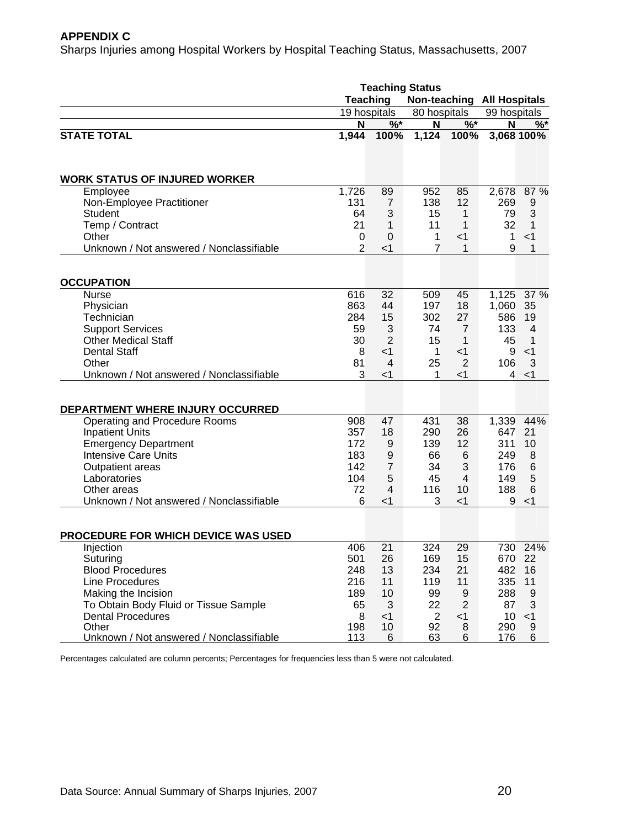#### **APPENDIX C**

Sharps Injuries among Hospital Workers by Hospital Teaching Status, Massachusetts, 2007

|                                          | <b>Teaching Status</b>                        |                  |                |                |              |                |  |  |
|------------------------------------------|-----------------------------------------------|------------------|----------------|----------------|--------------|----------------|--|--|
|                                          | <b>Teaching</b><br>Non-teaching All Hospitals |                  |                |                |              |                |  |  |
|                                          |                                               | 19 hospitals     |                | 80 hospitals   | 99 hospitals |                |  |  |
|                                          | N                                             | $%^*$            | N              | $%$ *          | N            | $\%$           |  |  |
| <b>STATE TOTAL</b>                       | 1,944                                         | 100%             | 1,124          | 100%           |              | 3,068 100%     |  |  |
|                                          |                                               |                  |                |                |              |                |  |  |
| <b>WORK STATUS OF INJURED WORKER</b>     |                                               |                  |                |                |              |                |  |  |
| Employee                                 | 1,726                                         | 89               | 952            | 85             | 2,678        | 87 %           |  |  |
| Non-Employee Practitioner                | 131                                           | 7                | 138            | 12             | 269          | 9              |  |  |
| <b>Student</b>                           | 64                                            | 3                | 15             | 1              | 79           | 3              |  |  |
| Temp / Contract                          | 21                                            | 1                | 11             | 1              | 32           | 1              |  |  |
| Other                                    | 0                                             | $\mathbf 0$      | $\mathbf{1}$   | $<$ 1          | $\mathbf{1}$ | $<$ 1          |  |  |
| Unknown / Not answered / Nonclassifiable | 2                                             | $<$ 1            | $\overline{7}$ | 1              | 9            | 1              |  |  |
|                                          |                                               |                  |                |                |              |                |  |  |
| <b>OCCUPATION</b>                        |                                               |                  |                |                |              |                |  |  |
| <b>Nurse</b>                             | 616                                           | 32<br>44         | 509            | 45             | 1,125        | 37 %           |  |  |
| Physician                                | 863                                           |                  | 197            | 18             | 1,060        | 35             |  |  |
| Technician                               | 284                                           | 15               | 302            | 27             | 586          | 19             |  |  |
| <b>Support Services</b>                  | 59                                            | 3                | 74             | $\overline{7}$ | 133          | $\overline{4}$ |  |  |
| <b>Other Medical Staff</b>               | 30                                            | $\overline{2}$   | 15             | $\mathbf{1}$   | 45           | 1              |  |  |
| <b>Dental Staff</b>                      | 8                                             | $<$ 1            | $\mathbf{1}$   | $<$ 1          | 9            | $<$ 1          |  |  |
| Other                                    | 81                                            | $\overline{4}$   | 25             | 2              | 106          | 3              |  |  |
| Unknown / Not answered / Nonclassifiable | 3                                             | $<$ 1            | 1              | $<$ 1          | 4            | $<$ 1          |  |  |
| DEPARTMENT WHERE INJURY OCCURRED         |                                               |                  |                |                |              |                |  |  |
| Operating and Procedure Rooms            | 908                                           | 47               | 431            | 38             | 1,339        | 44%            |  |  |
| <b>Inpatient Units</b>                   | 357                                           | 18               | 290            | 26             | 647          | 21             |  |  |
| <b>Emergency Department</b>              | 172                                           | 9                | 139            | 12             | 311          | 10             |  |  |
| <b>Intensive Care Units</b>              | 183                                           | $\boldsymbol{9}$ | 66             | 6              | 249          | 8              |  |  |
| Outpatient areas                         | 142                                           | $\overline{7}$   | 34             | 3              | 176          | 6              |  |  |
| Laboratories                             | 104                                           | 5                | 45             | $\overline{4}$ | 149          | 5              |  |  |
| Other areas                              | 72                                            | 4                | 116            | 10             | 188          | 6              |  |  |
| Unknown / Not answered / Nonclassifiable | 6                                             | $<$ 1            | 3              | $<$ 1          | 9            | $<$ 1          |  |  |
|                                          |                                               |                  |                |                |              |                |  |  |
| PROCEDURE FOR WHICH DEVICE WAS USED      |                                               |                  |                |                |              |                |  |  |
| Injection                                | 406                                           | 21               | 324            | 29             |              | 730 24%        |  |  |
| Suturing                                 | 501                                           | 26               | 169            | 15             |              | 670 22         |  |  |
| <b>Blood Procedures</b>                  | 248                                           | 13               | 234            | 21             | 482          | 16             |  |  |
| Line Procedures                          | 216                                           | 11               | 119            | 11             | 335          | 11             |  |  |
| Making the Incision                      | 189                                           | 10               | 99             | 9              | 288          | 9              |  |  |
| To Obtain Body Fluid or Tissue Sample    | 65                                            | 3                | 22             | $\overline{2}$ | 87           | 3              |  |  |
| <b>Dental Procedures</b>                 | 8                                             | $<$ 1            | $\overline{2}$ | $<$ 1          | 10           | $<$ 1          |  |  |
| Other                                    | 198                                           | 10               | 92             | 8              | 290          | 9              |  |  |
| Unknown / Not answered / Nonclassifiable | 113                                           | 6                | 63             | 6              | 176          | 6              |  |  |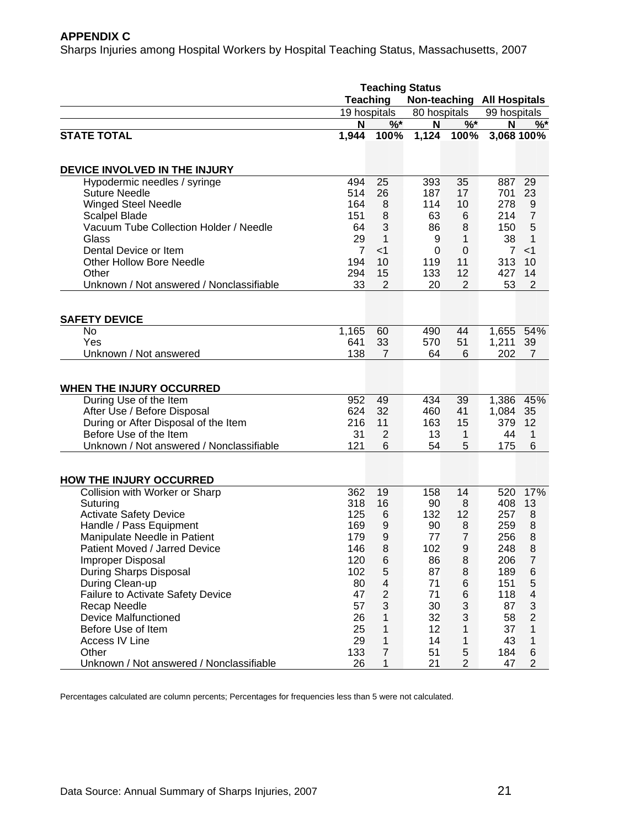## **APPENDIX C**

Sharps Injuries among Hospital Workers by Hospital Teaching Status, Massachusetts, 2007

|                                          | <b>Teaching Status</b> |                                               |              |                |              |                           |  |  |
|------------------------------------------|------------------------|-----------------------------------------------|--------------|----------------|--------------|---------------------------|--|--|
|                                          |                        | <b>Teaching</b><br>Non-teaching All Hospitals |              |                |              |                           |  |  |
|                                          |                        | 19 hospitals                                  | 80 hospitals |                | 99 hospitals |                           |  |  |
|                                          | N                      | $%$ *                                         | N            | %              | N            | $\%$                      |  |  |
| <b>STATE TOTAL</b>                       | 1,944                  | 100%                                          | 1,124        | 100%           |              | 3,068 100%                |  |  |
|                                          |                        |                                               |              |                |              |                           |  |  |
| DEVICE INVOLVED IN THE INJURY            |                        |                                               |              |                |              |                           |  |  |
| Hypodermic needles / syringe             | 494                    | 25                                            | 393          | 35             | 887          | 29                        |  |  |
| <b>Suture Needle</b>                     | 514                    | 26                                            | 187          | 17             | 701          | 23                        |  |  |
| <b>Winged Steel Needle</b>               | 164                    | 8                                             | 114          | 10             | 278          | 9                         |  |  |
| <b>Scalpel Blade</b>                     | 151                    | 8                                             | 63           | 6              | 214          | $\overline{7}$            |  |  |
| Vacuum Tube Collection Holder / Needle   | 64                     | 3                                             | 86           | 8              | 150          | 5                         |  |  |
| Glass                                    | 29                     | 1                                             | 9            | 1              | 38           | 1                         |  |  |
| Dental Device or Item                    | $\overline{7}$         | $<$ 1                                         | 0            | $\mathbf 0$    | $\mathbf{7}$ | $<$ 1                     |  |  |
| <b>Other Hollow Bore Needle</b>          | 194                    | 10                                            | 119          | 11             | 313          | 10                        |  |  |
| Other                                    | 294                    | 15                                            | 133          | 12             | 427          | 14                        |  |  |
| Unknown / Not answered / Nonclassifiable | 33                     | $\overline{2}$                                | 20           | $\overline{2}$ | 53           | $\overline{2}$            |  |  |
|                                          |                        |                                               |              |                |              |                           |  |  |
| <b>SAFETY DEVICE</b>                     |                        |                                               |              |                |              |                           |  |  |
| No                                       | 1,165                  | 60                                            | 490          | 44             | 1,655        | 54%                       |  |  |
| Yes                                      | 641                    | 33                                            | 570          | 51             | 1,211        | 39                        |  |  |
| Unknown / Not answered                   | 138                    | $\overline{7}$                                | 64           | 6              | 202          | $\overline{7}$            |  |  |
|                                          |                        |                                               |              |                |              |                           |  |  |
| <b>WHEN THE INJURY OCCURRED</b>          |                        |                                               |              |                |              |                           |  |  |
| During Use of the Item                   | 952                    | 49                                            | 434          | 39             | 1,386        | 45%                       |  |  |
| After Use / Before Disposal              | 624                    | 32                                            | 460          | 41             | 1,084        | 35                        |  |  |
| During or After Disposal of the Item     | 216                    | 11                                            | 163          | 15             | 379          | 12                        |  |  |
| Before Use of the Item                   | 31                     | $\overline{2}$                                | 13           | 1              | 44           | 1                         |  |  |
| Unknown / Not answered / Nonclassifiable | 121                    | 6                                             | 54           | 5              | 175          | 6                         |  |  |
|                                          |                        |                                               |              |                |              |                           |  |  |
| <b>HOW THE INJURY OCCURRED</b>           |                        |                                               |              |                |              |                           |  |  |
| Collision with Worker or Sharp           | 362                    | 19                                            | 158          | 14             | 520          | 17%                       |  |  |
| Suturing                                 | 318                    | 16                                            | 90           | 8              | 408          | 13                        |  |  |
| <b>Activate Safety Device</b>            | 125                    | 6                                             | 132          | 12             | 257          | 8                         |  |  |
| Handle / Pass Equipment                  | 169                    | 9                                             | 90           | 8              | 259          | 8                         |  |  |
| Manipulate Needle in Patient             | 179                    | $\mathsf 9$                                   | 77           | $\overline{7}$ | 256          | 8                         |  |  |
| Patient Moved / Jarred Device            | 146                    | 8                                             | 102          | 9              | 248          | 8                         |  |  |
| Improper Disposal                        | 120                    | 6                                             | 86           | 8              | 206          | $\overline{7}$            |  |  |
| During Sharps Disposal                   | 102                    | $\mathbf 5$                                   | 87           | 8              | 189          | 6                         |  |  |
| During Clean-up                          | 80                     | $\overline{\mathcal{A}}$                      | 71           | $\,6$          | 151          | 5                         |  |  |
| <b>Failure to Activate Safety Device</b> | 47                     | $\overline{c}$                                | 71           | $\,6$          | 118          | 4                         |  |  |
| Recap Needle                             | 57                     | $\mathbf{3}$                                  | 30           | 3              | 87           | $\ensuremath{\mathsf{3}}$ |  |  |
| <b>Device Malfunctioned</b>              | 26                     | 1                                             | 32           | 3              | 58           | $\overline{2}$            |  |  |
| Before Use of Item                       | 25                     | $\mathbf{1}$                                  | 12           | 1              | 37           | 1                         |  |  |
| Access IV Line                           | 29                     | 1                                             | 14           | 1              | 43           | 1                         |  |  |
| Other                                    | 133                    | $\overline{7}$                                | 51           | 5              | 184          | 6                         |  |  |
| Unknown / Not answered / Nonclassifiable | 26                     | 1                                             | 21           | $\overline{c}$ | 47           | $\overline{2}$            |  |  |